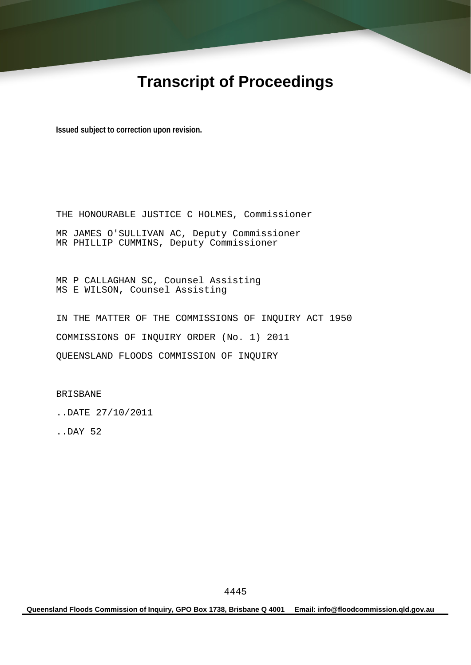# **Transcript of Proceedings**

**Issued subject to correction upon revision.** 

THE HONOURABLE JUSTICE C HOLMES, Commissioner MR JAMES O'SULLIVAN AC, Deputy Commissioner MR PHILLIP CUMMINS, Deputy Commissioner

MR P CALLAGHAN SC, Counsel Assisting MS E WILSON, Counsel Assisting

IN THE MATTER OF THE COMMISSIONS OF INQUIRY ACT 1950 COMMISSIONS OF INQUIRY ORDER (No. 1) 2011 QUEENSLAND FLOODS COMMISSION OF INQUIRY

BRISBANE

..DATE 27/10/2011

..DAY 52

**Queensland Floods Commission of Inquiry, GPO Box 1738, Brisbane Q 4001 Email: info@floodcommission.qld.gov.au**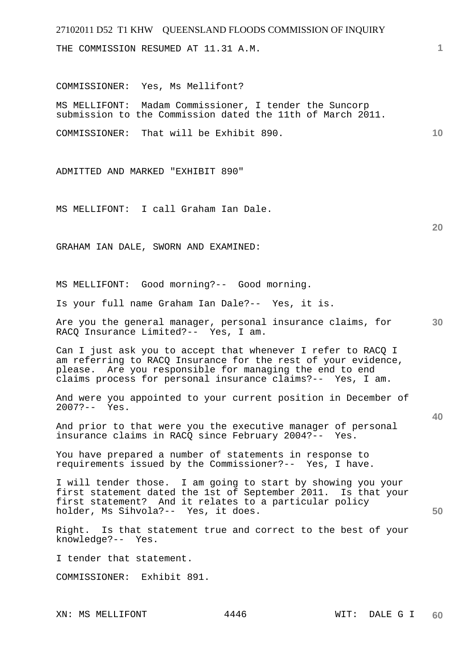THE COMMISSION RESUMED AT 11.31 A.M.

COMMISSIONER: Yes, Ms Mellifont?

MS MELLIFONT: Madam Commissioner, I tender the Suncorp submission to the Commission dated the 11th of March 2011.

COMMISSIONER: That will be Exhibit 890.

ADMITTED AND MARKED "EXHIBIT 890"

MS MELLIFONT: I call Graham Ian Dale.

GRAHAM IAN DALE, SWORN AND EXAMINED:

MS MELLIFONT: Good morning?-- Good morning.

Is your full name Graham Ian Dale?-- Yes, it is.

**30**  Are you the general manager, personal insurance claims, for RACQ Insurance Limited?-- Yes, I am.

Can I just ask you to accept that whenever I refer to RACQ I am referring to RACQ Insurance for the rest of your evidence, please. Are you responsible for managing the end to end claims process for personal insurance claims?-- Yes, I am.

And were you appointed to your current position in December of 2007?-- Yes.

And prior to that were you the executive manager of personal insurance claims in RACQ since February 2004?-- Yes.

You have prepared a number of statements in response to requirements issued by the Commissioner?-- Yes, I have.

I will tender those. I am going to start by showing you your first statement dated the 1st of September 2011. Is that your first statement? And it relates to a particular policy holder, Ms Sihvola?-- Yes, it does.

Right. Is that statement true and correct to the best of your knowledge?-- Yes.

I tender that statement.

COMMISSIONER: Exhibit 891.

XN: MS MELLIFONT 4446

**1**

**10** 

**20** 

**40**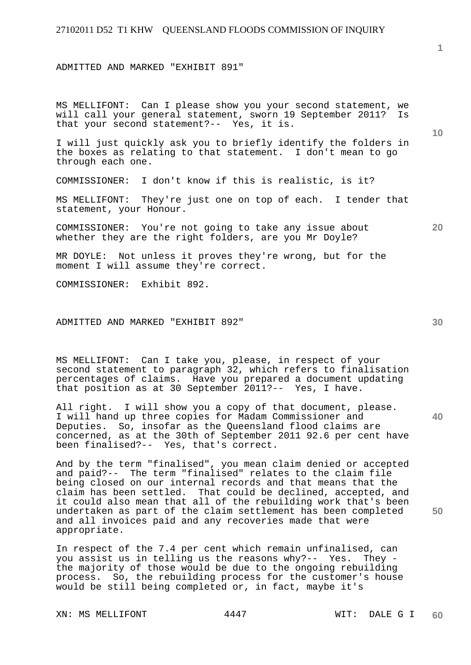ADMITTED AND MARKED "EXHIBIT 891"

MS MELLIFONT: Can I please show you your second statement, we will call your general statement, sworn 19 September 2011? Is that your second statement?-- Yes, it is.

I will just quickly ask you to briefly identify the folders in the boxes as relating to that statement. I don't mean to go through each one.

COMMISSIONER: I don't know if this is realistic, is it?

MS MELLIFONT: They're just one on top of each. I tender that statement, your Honour.

COMMISSIONER: You're not going to take any issue about whether they are the right folders, are you Mr Doyle?

MR DOYLE: Not unless it proves they're wrong, but for the moment I will assume they're correct.

COMMISSIONER: Exhibit 892.

#### ADMITTED AND MARKED "EXHIBIT 892"

MS MELLIFONT: Can I take you, please, in respect of your second statement to paragraph 32, which refers to finalisation percentages of claims. Have you prepared a document updating that position as at 30 September 2011?-- Yes, I have.

All right. I will show you a copy of that document, please. I will hand up three copies for Madam Commissioner and Deputies. So, insofar as the Queensland flood claims are concerned, as at the 30th of September 2011 92.6 per cent have been finalised?-- Yes, that's correct.

And by the term "finalised", you mean claim denied or accepted and paid?-- The term "finalised" relates to the claim file being closed on our internal records and that means that the claim has been settled. That could be declined, accepted, and it could also mean that all of the rebuilding work that's been undertaken as part of the claim settlement has been completed and all invoices paid and any recoveries made that were appropriate.

In respect of the 7.4 per cent which remain unfinalised, can you assist us in telling us the reasons why?-- Yes. They the majority of those would be due to the ongoing rebuilding process. So, the rebuilding process for the customer's house would be still being completed or, in fact, maybe it's

XN: MS MELLIFONT 4447 WIT: DALE G I

**20** 

**10** 

**40**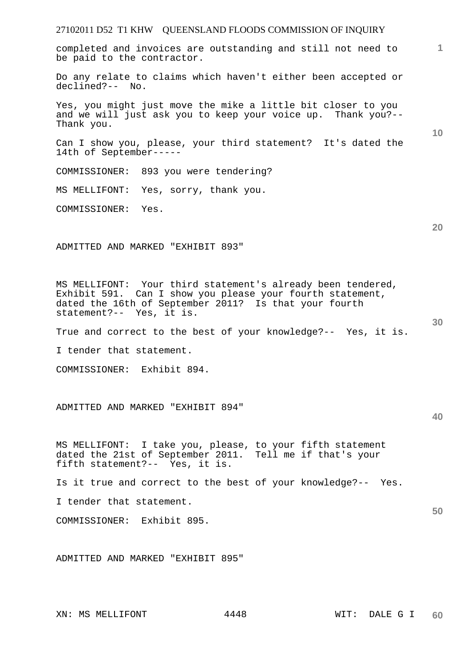27102011 D52 T1 KHW QUEENSLAND FLOODS COMMISSION OF INQUIRY **1 10 20 30 40 50**  completed and invoices are outstanding and still not need to be paid to the contractor. Do any relate to claims which haven't either been accepted or declined?-- No. Yes, you might just move the mike a little bit closer to you and we will just ask you to keep your voice up. Thank you?-- Thank you. Can I show you, please, your third statement? It's dated the 14th of September----- COMMISSIONER: 893 you were tendering? MS MELLIFONT: Yes, sorry, thank you. COMMISSIONER: Yes. ADMITTED AND MARKED "EXHIBIT 893" MS MELLIFONT: Your third statement's already been tendered, Exhibit 591. Can I show you please your fourth statement, dated the 16th of September 2011? Is that your fourth statement?-- Yes, it is. True and correct to the best of your knowledge?-- Yes, it is. I tender that statement. COMMISSIONER: Exhibit 894. ADMITTED AND MARKED "EXHIBIT 894" MS MELLIFONT: I take you, please, to your fifth statement dated the 21st of September 2011. Tell me if that's your fifth statement?-- Yes, it is. Is it true and correct to the best of your knowledge?-- Yes. I tender that statement. COMMISSIONER: Exhibit 895. ADMITTED AND MARKED "EXHIBIT 895"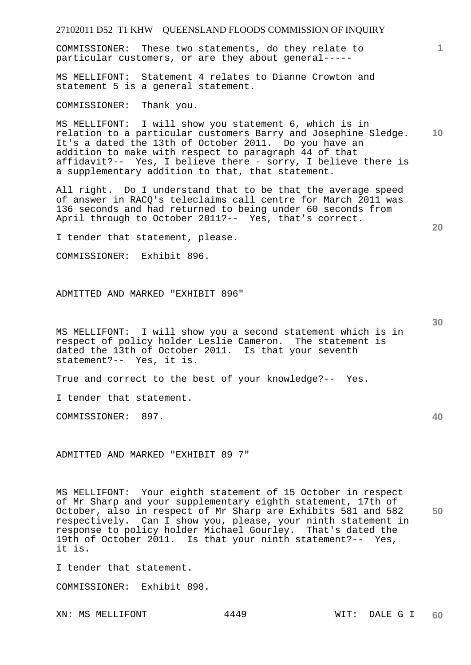COMMISSIONER: These two statements, do they relate to particular customers, or are they about general-----

MS MELLIFONT: Statement 4 relates to Dianne Crowton and statement 5 is a general statement.

COMMISSIONER: Thank you.

**10**  MS MELLIFONT: I will show you statement 6, which is in relation to a particular customers Barry and Josephine Sledge. It's a dated the 13th of October 2011. Do you have an addition to make with respect to paragraph 44 of that affidavit?-- Yes, I believe there - sorry, I believe there is a supplementary addition to that, that statement.

All right. Do I understand that to be that the average speed of answer in RACQ's teleclaims call centre for March 2011 was 136 seconds and had returned to being under 60 seconds from April through to October 2011?-- Yes, that's correct.

I tender that statement, please.

COMMISSIONER: Exhibit 896.

ADMITTED AND MARKED "EXHIBIT 896"

MS MELLIFONT: I will show you a second statement which is in respect of policy holder Leslie Cameron. The statement is dated the 13th of October 2011. Is that your seventh statement?-- Yes, it is.

True and correct to the best of your knowledge?-- Yes.

I tender that statement.

COMMISSIONER: 897.

ADMITTED AND MARKED "EXHIBIT 89 7"

**50**  MS MELLIFONT: Your eighth statement of 15 October in respect of Mr Sharp and your supplementary eighth statement, 17th of October, also in respect of Mr Sharp are Exhibits 581 and 582 respectively. Can I show you, please, your ninth statement in response to policy holder Michael Gourley. That's dated the 19th of October 2011. Is that your ninth statement?-- Yes, it is.

I tender that statement.

COMMISSIONER: Exhibit 898.

XN: MS MELLIFONT 4449 WIT: DALE G I

**20** 

**1**

**30**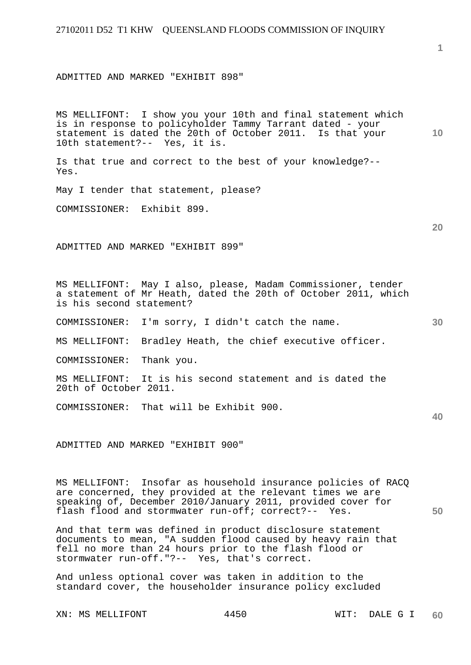ADMITTED AND MARKED "EXHIBIT 898"

**10**  MS MELLIFONT: I show you your 10th and final statement which is in response to policyholder Tammy Tarrant dated - your statement is dated the 20th of October 2011. Is that your 10th statement?-- Yes, it is.

Is that true and correct to the best of your knowledge?-- Yes.

May I tender that statement, please?

COMMISSIONER: Exhibit 899.

ADMITTED AND MARKED "EXHIBIT 899"

MS MELLIFONT: May I also, please, Madam Commissioner, tender a statement of Mr Heath, dated the 20th of October 2011, which is his second statement?

COMMISSIONER: I'm sorry, I didn't catch the name.

MS MELLIFONT: Bradley Heath, the chief executive officer.

COMMISSIONER: Thank you.

MS MELLIFONT: It is his second statement and is dated the 20th of October 2011.

COMMISSIONER: That will be Exhibit 900.

ADMITTED AND MARKED "EXHIBIT 900"

MS MELLIFONT: Insofar as household insurance policies of RACQ are concerned, they provided at the relevant times we are speaking of, December 2010/January 2011, provided cover for flash flood and stormwater run-off; correct?-- Yes.

And that term was defined in product disclosure statement documents to mean, "A sudden flood caused by heavy rain that fell no more than 24 hours prior to the flash flood or stormwater run-off."?-- Yes, that's correct.

And unless optional cover was taken in addition to the standard cover, the householder insurance policy excluded

XN: MS MELLIFONT 4450 WIT: DALE G I

**1**

**20** 

**30** 

**40**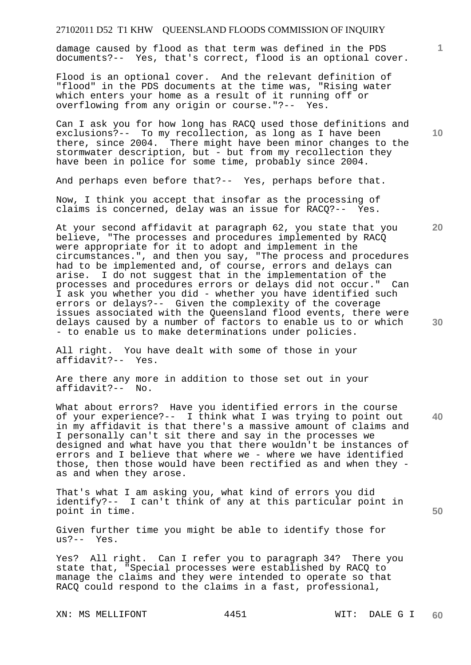damage caused by flood as that term was defined in the PDS documents?-- Yes, that's correct, flood is an optional cover.

Flood is an optional cover. And the relevant definition of "flood" in the PDS documents at the time was, "Rising water which enters your home as a result of it running off or overflowing from any origin or course."?-- Yes.

Can I ask you for how long has RACQ used those definitions and exclusions?-- To my recollection, as long as I have been there, since 2004. There might have been minor changes to the stormwater description, but - but from my recollection they have been in police for some time, probably since 2004.

And perhaps even before that?-- Yes, perhaps before that.

Now, I think you accept that insofar as the processing of claims is concerned, delay was an issue for RACQ?-- Yes.

At your second affidavit at paragraph 62, you state that you believe, "The processes and procedures implemented by RACQ were appropriate for it to adopt and implement in the circumstances.", and then you say, "The process and procedures had to be implemented and, of course, errors and delays can arise. I do not suggest that in the implementation of the processes and procedures errors or delays did not occur." Can I ask you whether you did - whether you have identified such errors or delays?-- Given the complexity of the coverage issues associated with the Queensland flood events, there were delays caused by a number of factors to enable us to or which - to enable us to make determinations under policies.

All right. You have dealt with some of those in your affidavit?-- Yes.

Are there any more in addition to those set out in your affidavit?-- No.

What about errors? Have you identified errors in the course of your experience?-- I think what I was trying to point out in my affidavit is that there's a massive amount of claims and I personally can't sit there and say in the processes we designed and what have you that there wouldn't be instances of errors and I believe that where we - where we have identified those, then those would have been rectified as and when they as and when they arose.

That's what I am asking you, what kind of errors you did identify?-- I can't think of any at this particular point in point in time.

Given further time you might be able to identify those for us?-- Yes.

Yes? All right. Can I refer you to paragraph 34? There you state that, "Special processes were established by RACQ to manage the claims and they were intended to operate so that RACQ could respond to the claims in a fast, professional,

XN: MS MELLIFONT 4451 WIT: DALE G I

**10** 

**1**

**20** 

**40**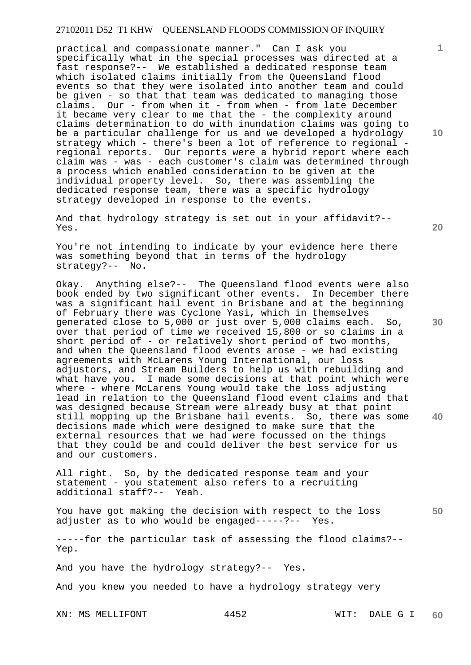practical and compassionate manner." Can I ask you specifically what in the special processes was directed at a fast response?-- We established a dedicated response team which isolated claims initially from the Oueensland flood events so that they were isolated into another team and could be given - so that that team was dedicated to managing those claims. Our - from when it - from when - from late December it became very clear to me that the - the complexity around claims determination to do with inundation claims was going to be a particular challenge for us and we developed a hydrology strategy which - there's been a lot of reference to regional regional reports. Our reports were a hybrid report where each claim was - was - each customer's claim was determined through a process which enabled consideration to be given at the individual property level. So, there was assembling the dedicated response team, there was a specific hydrology strategy developed in response to the events.

And that hydrology strategy is set out in your affidavit?-- Yes.

You're not intending to indicate by your evidence here there was something beyond that in terms of the hydrology strategy?-- No.

Okay. Anything else?-- The Queensland flood events were also book ended by two significant other events. In December there was a significant hail event in Brisbane and at the beginning of February there was Cyclone Yasi, which in themselves generated close to 5,000 or just over 5,000 claims each. So, over that period of time we received 15,800 or so claims in a short period of - or relatively short period of two months, and when the Queensland flood events arose - we had existing agreements with McLarens Young International, our loss adjustors, and Stream Builders to help us with rebuilding and what have you. I made some decisions at that point which were where - where McLarens Young would take the loss adjusting lead in relation to the Queensland flood event claims and that was designed because Stream were already busy at that point still mopping up the Brisbane hail events. So, there was some decisions made which were designed to make sure that the external resources that we had were focussed on the things that they could be and could deliver the best service for us and our customers.

All right. So, by the dedicated response team and your statement - you statement also refers to a recruiting additional staff?-- Yeah.

You have got making the decision with respect to the loss adjuster as to who would be engaged-----?-- Yes.

-----for the particular task of assessing the flood claims?-- Yep.

And you have the hydrology strategy?-- Yes.

And you knew you needed to have a hydrology strategy very

XN: MS MELLIFONT 4452 WIT: DALE G I

**10** 

**1**

**30** 

**20** 

**40**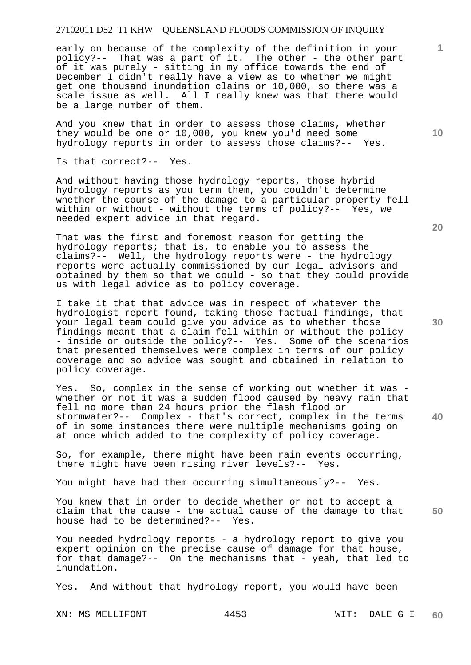early on because of the complexity of the definition in your policy?-- That was a part of it. The other - the other part of it was purely - sitting in my office towards the end of December I didn't really have a view as to whether we might get one thousand inundation claims or 10,000, so there was a scale issue as well. All I really knew was that there would be a large number of them.

And you knew that in order to assess those claims, whether they would be one or 10,000, you knew you'd need some hydrology reports in order to assess those claims?-- Yes.

Is that correct?-- Yes.

And without having those hydrology reports, those hybrid hydrology reports as you term them, you couldn't determine whether the course of the damage to a particular property fell within or without - without the terms of policy?-- Yes, we needed expert advice in that regard.

That was the first and foremost reason for getting the hydrology reports; that is, to enable you to assess the claims?-- Well, the hydrology reports were - the hydrology reports were actually commissioned by our legal advisors and obtained by them so that we could - so that they could provide us with legal advice as to policy coverage.

I take it that that advice was in respect of whatever the hydrologist report found, taking those factual findings, that your legal team could give you advice as to whether those findings meant that a claim fell within or without the policy - inside or outside the policy?-- Yes. Some of the scenarios that presented themselves were complex in terms of our policy coverage and so advice was sought and obtained in relation to policy coverage.

Yes. So, complex in the sense of working out whether it was whether or not it was a sudden flood caused by heavy rain that fell no more than 24 hours prior the flash flood or stormwater?-- Complex - that's correct, complex in the terms of in some instances there were multiple mechanisms going on at once which added to the complexity of policy coverage.

So, for example, there might have been rain events occurring, there might have been rising river levels?-- Yes.

You might have had them occurring simultaneously?-- Yes.

**50**  You knew that in order to decide whether or not to accept a claim that the cause - the actual cause of the damage to that house had to be determined?-- Yes.

You needed hydrology reports - a hydrology report to give you expert opinion on the precise cause of damage for that house, for that damage?-- On the mechanisms that - yeah, that led to inundation.

Yes. And without that hydrology report, you would have been

XN: MS MELLIFONT 4453 WIT: DALE G I

**20** 

**40** 

**30** 

**10**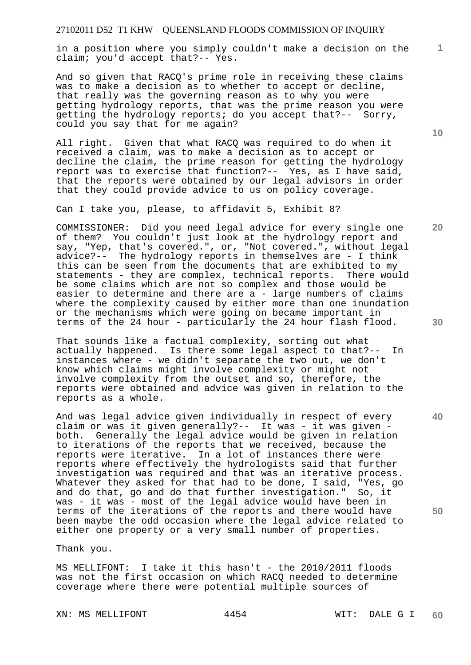in a position where you simply couldn't make a decision on the claim; you'd accept that?-- Yes.

And so given that RACQ's prime role in receiving these claims was to make a decision as to whether to accept or decline, that really was the governing reason as to why you were getting hydrology reports, that was the prime reason you were getting the hydrology reports; do you accept that?-- Sorry, could you say that for me again?

All right. Given that what RACQ was required to do when it received a claim, was to make a decision as to accept or decline the claim, the prime reason for getting the hydrology report was to exercise that function?-- Yes, as I have said, that the reports were obtained by our legal advisors in order that they could provide advice to us on policy coverage.

Can I take you, please, to affidavit 5, Exhibit 8?

COMMISSIONER: Did you need legal advice for every single one of them? You couldn't just look at the hydrology report and say, "Yep, that's covered.", or, "Not covered.", without legal advice?-- The hydrology reports in themselves are - I think this can be seen from the documents that are exhibited to my statements - they are complex, technical reports. There would be some claims which are not so complex and those would be easier to determine and there are a - large numbers of claims where the complexity caused by either more than one inundation or the mechanisms which were going on became important in terms of the 24 hour - particularly the 24 hour flash flood.

That sounds like a factual complexity, sorting out what actually happened. Is there some legal aspect to that?-- In instances where - we didn't separate the two out, we don't know which claims might involve complexity or might not involve complexity from the outset and so, therefore, the reports were obtained and advice was given in relation to the reports as a whole.

And was legal advice given individually in respect of every claim or was it given generally?-- It was - it was given both. Generally the legal advice would be given in relation to iterations of the reports that we received, because the reports were iterative. In a lot of instances there were reports where effectively the hydrologists said that further investigation was required and that was an iterative process. Whatever they asked for that had to be done, I said, "Yes, go and do that, go and do that further investigation." So, it was - it was - most of the legal advice would have been in terms of the iterations of the reports and there would have been maybe the odd occasion where the legal advice related to either one property or a very small number of properties.

Thank you.

MS MELLIFONT: I take it this hasn't - the 2010/2011 floods was not the first occasion on which RACQ needed to determine coverage where there were potential multiple sources of

XN: MS MELLIFONT 4454 WIT: DALE G I

**10** 

**20** 

**1**

**30** 

**40**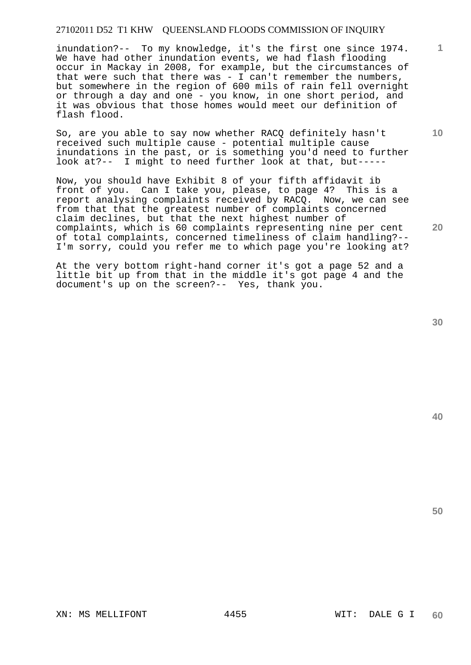inundation?-- To my knowledge, it's the first one since 1974. We have had other inundation events, we had flash flooding occur in Mackay in 2008, for example, but the circumstances of that were such that there was  $-$  I can't remember the numbers, but somewhere in the region of 600 mils of rain fell overnight or through a day and one - you know, in one short period, and it was obvious that those homes would meet our definition of flash flood.

So, are you able to say now whether RACQ definitely hasn't received such multiple cause - potential multiple cause inundations in the past, or is something you'd need to further look at?-- I might to need further look at that, but-----

Now, you should have Exhibit 8 of your fifth affidavit ib front of you. Can I take you, please, to page 4? This is a report analysing complaints received by RACQ. Now, we can see from that that the greatest number of complaints concerned claim declines, but that the next highest number of complaints, which is 60 complaints representing nine per cent of total complaints, concerned timeliness of claim handling?-- I'm sorry, could you refer me to which page you're looking at?

At the very bottom right-hand corner it's got a page 52 and a little bit up from that in the middle it's got page 4 and the document's up on the screen?-- Yes, thank you.

**40** 

**50** 

**1**

**10**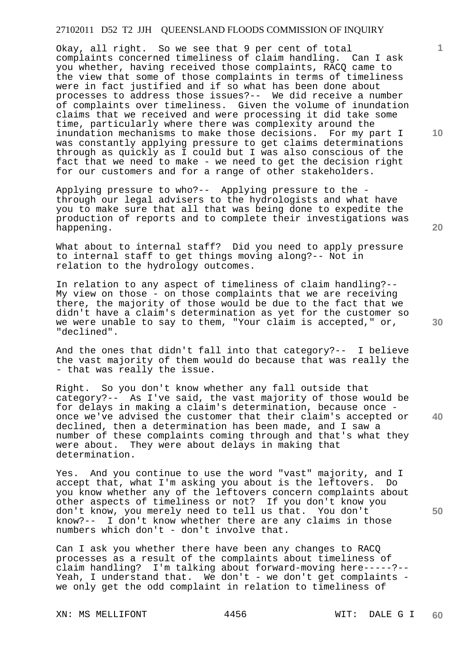Okay, all right. So we see that 9 per cent of total complaints concerned timeliness of claim handling. Can I ask you whether, having received those complaints, RACQ came to the view that some of those complaints in terms of timeliness were in fact justified and if so what has been done about processes to address those issues?-- We did receive a number of complaints over timeliness. Given the volume of inundation claims that we received and were processing it did take some time, particularly where there was complexity around the inundation mechanisms to make those decisions. For my part I was constantly applying pressure to get claims determinations through as quickly as I could but I was also conscious of the fact that we need to make - we need to get the decision right for our customers and for a range of other stakeholders.

Applying pressure to who?-- Applying pressure to the through our legal advisers to the hydrologists and what have you to make sure that all that was being done to expedite the production of reports and to complete their investigations was happening.

What about to internal staff? Did you need to apply pressure to internal staff to get things moving along?-- Not in relation to the hydrology outcomes.

In relation to any aspect of timeliness of claim handling?-- My view on those - on those complaints that we are receiving there, the majority of those would be due to the fact that we didn't have a claim's determination as yet for the customer so we were unable to say to them, "Your claim is accepted," or, "declined".

And the ones that didn't fall into that category?-- I believe the vast majority of them would do because that was really the - that was really the issue.

Right. So you don't know whether any fall outside that category?-- As I've said, the vast majority of those would be for delays in making a claim's determination, because once once we've advised the customer that their claim's accepted or declined, then a determination has been made, and I saw a number of these complaints coming through and that's what they were about. They were about delays in making that determination.

Yes. And you continue to use the word "vast" majority, and I accept that, what I'm asking you about is the leftovers. Do you know whether any of the leftovers concern complaints about other aspects of timeliness or not? If you don't know you don't know, you merely need to tell us that. You don't know?-- I don't know whether there are any claims in those numbers which don't - don't involve that.

Can I ask you whether there have been any changes to RACQ processes as a result of the complaints about timeliness of claim handling? I'm talking about forward-moving here-----?-- Yeah, I understand that. We don't - we don't get complaints we only get the odd complaint in relation to timeliness of

XN: MS MELLIFONT 4456 WIT: DALE G I

**10** 

**1**

**30** 

**40**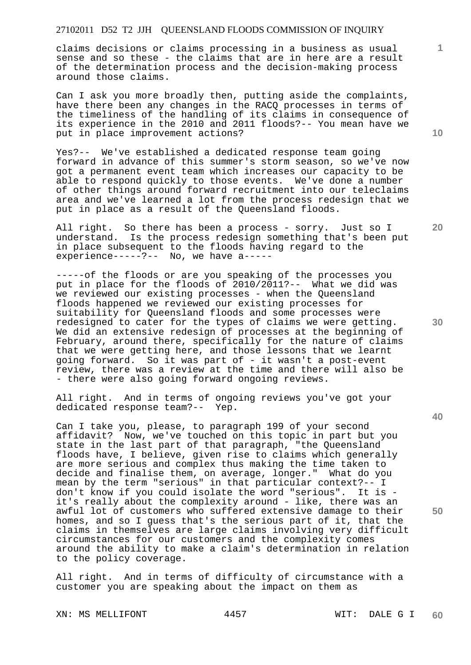claims decisions or claims processing in a business as usual sense and so these - the claims that are in here are a result of the determination process and the decision-making process around those claims.

Can I ask you more broadly then, putting aside the complaints, have there been any changes in the RACQ processes in terms of the timeliness of the handling of its claims in consequence of its experience in the 2010 and 2011 floods?-- You mean have we put in place improvement actions?

Yes?-- We've established a dedicated response team going forward in advance of this summer's storm season, so we've now got a permanent event team which increases our capacity to be able to respond quickly to those events. We've done a number of other things around forward recruitment into our teleclaims area and we've learned a lot from the process redesign that we put in place as a result of the Queensland floods.

All right. So there has been a process - sorry. Just so I understand. Is the process redesign something that's been put in place subsequent to the floods having regard to the experience-----?-- No, we have a-----

-----of the floods or are you speaking of the processes you put in place for the floods of 2010/2011?-- What we did was we reviewed our existing processes - when the Queensland floods happened we reviewed our existing processes for suitability for Queensland floods and some processes were redesigned to cater for the types of claims we were getting. We did an extensive redesign of processes at the beginning of February, around there, specifically for the nature of claims that we were getting here, and those lessons that we learnt going forward. So it was part of - it wasn't a post-event review, there was a review at the time and there will also be - there were also going forward ongoing reviews.

All right. And in terms of ongoing reviews you've got your dedicated response team?-- Yep.

Can I take you, please, to paragraph 199 of your second affidavit? Now, we've touched on this topic in part but you state in the last part of that paragraph, "the Queensland floods have, I believe, given rise to claims which generally are more serious and complex thus making the time taken to decide and finalise them, on average, longer." What do you mean by the term "serious" in that particular context?-- I don't know if you could isolate the word "serious". It is it's really about the complexity around - like, there was an awful lot of customers who suffered extensive damage to their homes, and so I guess that's the serious part of it, that the claims in themselves are large claims involving very difficult circumstances for our customers and the complexity comes around the ability to make a claim's determination in relation to the policy coverage.

All right. And in terms of difficulty of circumstance with a customer you are speaking about the impact on them as

XN: MS MELLIFONT 4457 WIT: DALE G I

**10** 

**1**

**20** 

**30** 

**40**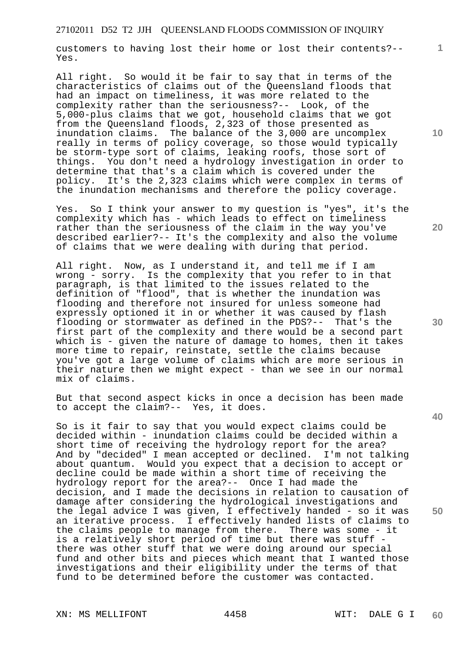customers to having lost their home or lost their contents?-- Yes.

All right. So would it be fair to say that in terms of the characteristics of claims out of the Queensland floods that had an impact on timeliness, it was more related to the complexity rather than the seriousness?-- Look, of the 5,000-plus claims that we got, household claims that we got from the Queensland floods, 2,323 of those presented as inundation claims. The balance of the 3,000 are uncomplex really in terms of policy coverage, so those would typically be storm-type sort of claims, leaking roofs, those sort of things. You don't need a hydrology investigation in order to determine that that's a claim which is covered under the policy. It's the 2,323 claims which were complex in terms of the inundation mechanisms and therefore the policy coverage.

Yes. So I think your answer to my question is "yes", it's the complexity which has - which leads to effect on timeliness rather than the seriousness of the claim in the way you've described earlier?-- It's the complexity and also the volume of claims that we were dealing with during that period.

All right. Now, as I understand it, and tell me if I am wrong - sorry. Is the complexity that you refer to in that paragraph, is that limited to the issues related to the definition of "flood", that is whether the inundation was flooding and therefore not insured for unless someone had expressly optioned it in or whether it was caused by flash flooding or stormwater as defined in the PDS?-- That's the first part of the complexity and there would be a second part which is - given the nature of damage to homes, then it takes more time to repair, reinstate, settle the claims because you've got a large volume of claims which are more serious in their nature then we might expect - than we see in our normal mix of claims.

But that second aspect kicks in once a decision has been made to accept the claim?-- Yes, it does.

So is it fair to say that you would expect claims could be decided within - inundation claims could be decided within a short time of receiving the hydrology report for the area? And by "decided" I mean accepted or declined. I'm not talking about quantum. Would you expect that a decision to accept or decline could be made within a short time of receiving the hydrology report for the area?-- Once I had made the decision, and I made the decisions in relation to causation of damage after considering the hydrological investigations and the legal advice I was given, I effectively handed - so it was an iterative process. I effectively handed lists of claims to the claims people to manage from there. There was some - it is a relatively short period of time but there was stuff there was other stuff that we were doing around our special fund and other bits and pieces which meant that I wanted those investigations and their eligibility under the terms of that fund to be determined before the customer was contacted.

XN: MS MELLIFONT 4458 WIT: DALE G I

**10** 

**1**

**30** 

**20** 

**40**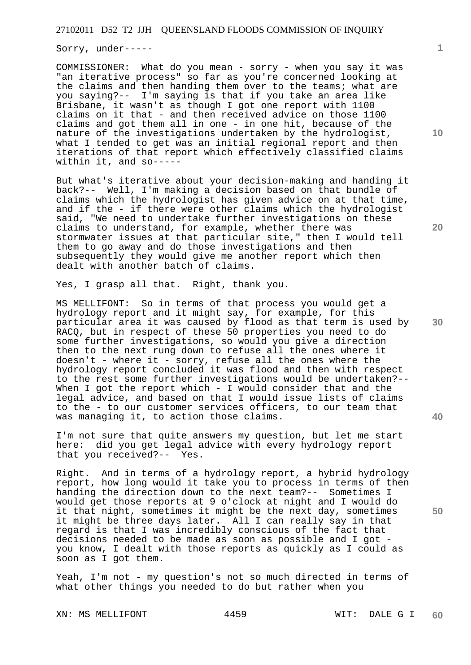Sorry, under-----

COMMISSIONER: What do you mean - sorry - when you say it was "an iterative process" so far as you're concerned looking at the claims and then handing them over to the teams; what are you saying?-- I'm saying is that if you take an area like Brisbane, it wasn't as though I got one report with 1100 claims on it that - and then received advice on those 1100 claims and got them all in one - in one hit, because of the nature of the investigations undertaken by the hydrologist, what I tended to get was an initial regional report and then iterations of that report which effectively classified claims within it, and so-----

But what's iterative about your decision-making and handing it back?-- Well, I'm making a decision based on that bundle of claims which the hydrologist has given advice on at that time, and if the - if there were other claims which the hydrologist said, "We need to undertake further investigations on these claims to understand, for example, whether there was stormwater issues at that particular site," then I would tell them to go away and do those investigations and then subsequently they would give me another report which then dealt with another batch of claims.

Yes, I grasp all that. Right, thank you.

MS MELLIFONT: So in terms of that process you would get a hydrology report and it might say, for example, for this particular area it was caused by flood as that term is used by RACQ, but in respect of these 50 properties you need to do some further investigations, so would you give a direction then to the next rung down to refuse all the ones where it doesn't - where it - sorry, refuse all the ones where the hydrology report concluded it was flood and then with respect to the rest some further investigations would be undertaken?-- When I got the report which - I would consider that and the legal advice, and based on that I would issue lists of claims to the - to our customer services officers, to our team that was managing it, to action those claims.

I'm not sure that quite answers my question, but let me start here: did you get legal advice with every hydrology report that you received?-- Yes.

Right. And in terms of a hydrology report, a hybrid hydrology report, how long would it take you to process in terms of then handing the direction down to the next team?-- Sometimes I would get those reports at 9 o'clock at night and I would do it that night, sometimes it might be the next day, sometimes it might be three days later. All I can really say in that regard is that I was incredibly conscious of the fact that decisions needed to be made as soon as possible and I got you know, I dealt with those reports as quickly as I could as soon as I got them.

Yeah, I'm not - my question's not so much directed in terms of what other things you needed to do but rather when you

**10** 

**1**

**20** 

**40** 

**50**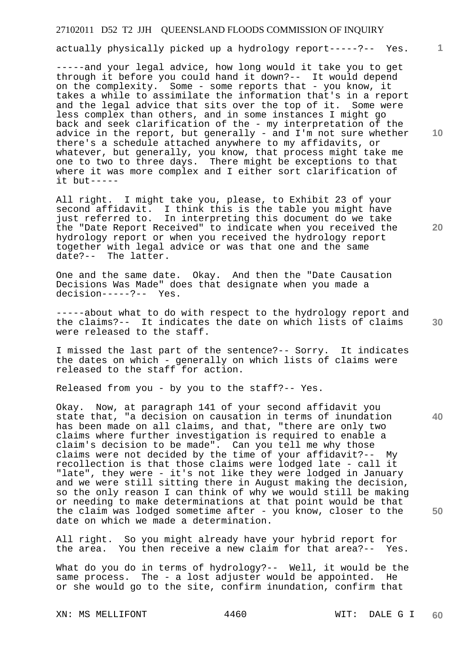actually physically picked up a hydrology report-----?-- Yes.

-----and your legal advice, how long would it take you to get through it before you could hand it down?-- It would depend on the complexity. Some - some reports that - you know, it takes a while to assimilate the information that's in a report and the legal advice that sits over the top of it. Some were less complex than others, and in some instances I might go back and seek clarification of the - my interpretation of the advice in the report, but generally - and  $I'm$  not sure whether there's a schedule attached anywhere to my affidavits, or whatever, but generally, you know, that process might take me one to two to three days. There might be exceptions to that where it was more complex and I either sort clarification of it but-----

All right. I might take you, please, to Exhibit 23 of your second affidavit. I think this is the table you might have just referred to. In interpreting this document do we take the "Date Report Received" to indicate when you received the hydrology report or when you received the hydrology report together with legal advice or was that one and the same date?-- The latter.

One and the same date. Okay. And then the "Date Causation Decisions Was Made" does that designate when you made a decision-----?-- Yes.

-----about what to do with respect to the hydrology report and the claims?-- It indicates the date on which lists of claims were released to the staff.

I missed the last part of the sentence?-- Sorry. It indicates the dates on which - generally on which lists of claims were released to the staff for action.

Released from you - by you to the staff?-- Yes.

Okay. Now, at paragraph 141 of your second affidavit you state that, "a decision on causation in terms of inundation has been made on all claims, and that, "there are only two claims where further investigation is required to enable a claim's decision to be made". Can you tell me why those claims were not decided by the time of your affidavit?-- My recollection is that those claims were lodged late - call it "late", they were - it's not like they were lodged in January and we were still sitting there in August making the decision, so the only reason I can think of why we would still be making or needing to make determinations at that point would be that the claim was lodged sometime after - you know, closer to the date on which we made a determination.

All right. So you might already have your hybrid report for the area. You then receive a new claim for that area?-- Yes.

What do you do in terms of hydrology?-- Well, it would be the same process. The - a lost adjuster would be appointed. He or she would go to the site, confirm inundation, confirm that

XN: MS MELLIFONT 4460 WIT: DALE G I

**10** 

**1**

**30** 

**20**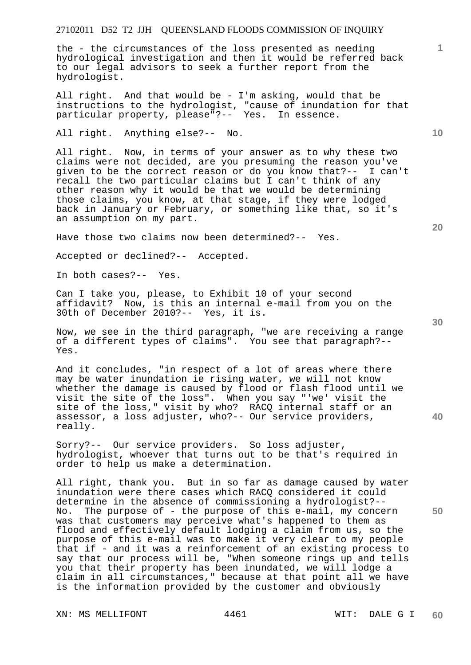the - the circumstances of the loss presented as needing hydrological investigation and then it would be referred back to our legal advisors to seek a further report from the hydrologist.

All right. And that would be - I'm asking, would that be instructions to the hydrologist, "cause of inundation for that particular property, please"?-- Yes. In essence.

All right. Anything else?-- No.

All right. Now, in terms of your answer as to why these two claims were not decided, are you presuming the reason you've given to be the correct reason or do you know that?-- I can't recall the two particular claims but I can't think of any other reason why it would be that we would be determining those claims, you know, at that stage, if they were lodged back in January or February, or something like that, so it's an assumption on my part.

Have those two claims now been determined?-- Yes.

Accepted or declined?-- Accepted.

In both cases?-- Yes.

Can I take you, please, to Exhibit 10 of your second affidavit? Now, is this an internal e-mail from you on the 30th of December 2010?-- Yes, it is.

Now, we see in the third paragraph, "we are receiving a range of a different types of claims". You see that paragraph?-- Yes.

And it concludes, "in respect of a lot of areas where there may be water inundation ie rising water, we will not know whether the damage is caused by flood or flash flood until we visit the site of the loss". When you say "'we' visit the site of the loss," visit by who? RACQ internal staff or an assessor, a loss adjuster, who?-- Our service providers, really.

Sorry?-- Our service providers. So loss adjuster, hydrologist, whoever that turns out to be that's required in order to help us make a determination.

All right, thank you. But in so far as damage caused by water inundation were there cases which RACQ considered it could determine in the absence of commissioning a hydrologist?-- No. The purpose of - the purpose of this e-mail, my concern was that customers may perceive what's happened to them as flood and effectively default lodging a claim from us, so the purpose of this e-mail was to make it very clear to my people that if - and it was a reinforcement of an existing process to say that our process will be, "When someone rings up and tells you that their property has been inundated, we will lodge a claim in all circumstances," because at that point all we have is the information provided by the customer and obviously

XN: MS MELLIFONT 4461 WIT: DALE G I

**20** 

**40** 

**50** 

**10**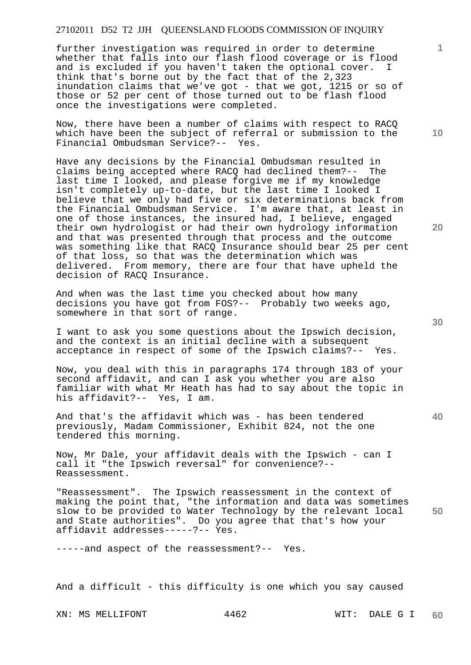further investigation was required in order to determine whether that falls into our flash flood coverage or is flood and is excluded if you haven't taken the optional cover. I think that's borne out by the fact that of the 2,323 inundation claims that we've got - that we got, 1215 or so of those or 52 per cent of those turned out to be flash flood once the investigations were completed.

Now, there have been a number of claims with respect to RACQ which have been the subject of referral or submission to the Financial Ombudsman Service?-- Yes.

Have any decisions by the Financial Ombudsman resulted in claims being accepted where RACQ had declined them?-- The last time I looked, and please forgive me if my knowledge isn't completely up-to-date, but the last time I looked I believe that we only had five or six determinations back from the Financial Ombudsman Service. I'm aware that, at least in one of those instances, the insured had, I believe, engaged their own hydrologist or had their own hydrology information and that was presented through that process and the outcome was something like that RACQ Insurance should bear 25 per cent of that loss, so that was the determination which was delivered. From memory, there are four that have upheld the decision of RACQ Insurance.

And when was the last time you checked about how many decisions you have got from FOS?-- Probably two weeks ago, somewhere in that sort of range.

I want to ask you some questions about the Ipswich decision, and the context is an initial decline with a subsequent acceptance in respect of some of the Ipswich claims?-- Yes.

Now, you deal with this in paragraphs 174 through 183 of your second affidavit, and can I ask you whether you are also familiar with what Mr Heath has had to say about the topic in his affidavit?-- Yes, I am.

And that's the affidavit which was - has been tendered previously, Madam Commissioner, Exhibit 824, not the one tendered this morning.

Now, Mr Dale, your affidavit deals with the Ipswich - can I call it "the Ipswich reversal" for convenience?-- Reassessment.

**50**  "Reassessment". The Ipswich reassessment in the context of making the point that, "the information and data was sometimes slow to be provided to Water Technology by the relevant local and State authorities". Do you agree that that's how your affidavit addresses-----?-- Yes.

-----and aspect of the reassessment?-- Yes.

And a difficult - this difficulty is one which you say caused

XN: MS MELLIFONT 4462 WIT: DALE G I

**20** 

**40** 

**10**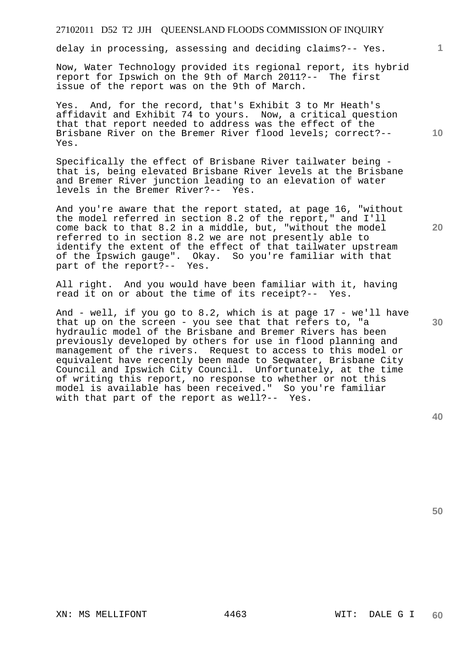delay in processing, assessing and deciding claims?-- Yes.

Now, Water Technology provided its regional report, its hybrid report for Ipswich on the 9th of March 2011?-- The first issue of the report was on the 9th of March.

Yes. And, for the record, that's Exhibit 3 to Mr Heath's affidavit and Exhibit 74 to yours. Now, a critical question that that report needed to address was the effect of the Brisbane River on the Bremer River flood levels; correct?-- Yes.

Specifically the effect of Brisbane River tailwater being that is, being elevated Brisbane River levels at the Brisbane and Bremer River junction leading to an elevation of water levels in the Bremer River?-- Yes.

And you're aware that the report stated, at page 16, "without the model referred in section 8.2 of the report," and I'll come back to that 8.2 in a middle, but, "without the model referred to in section 8.2 we are not presently able to identify the extent of the effect of that tailwater upstream of the Ipswich gauge". Okay. So you're familiar with that part of the report?-- Yes.

All right. And you would have been familiar with it, having read it on or about the time of its receipt?-- Yes.

And - well, if you go to 8.2, which is at page 17 - we'll have that up on the screen - you see that that refers to, "a hydraulic model of the Brisbane and Bremer Rivers has been previously developed by others for use in flood planning and management of the rivers. Request to access to this model or equivalent have recently been made to Seqwater, Brisbane City Council and Ipswich City Council. Unfortunately, at the time of writing this report, no response to whether or not this model is available has been received." So you're familiar with that part of the report as well?-- Yes.

**30** 

**50** 

**1**

**10**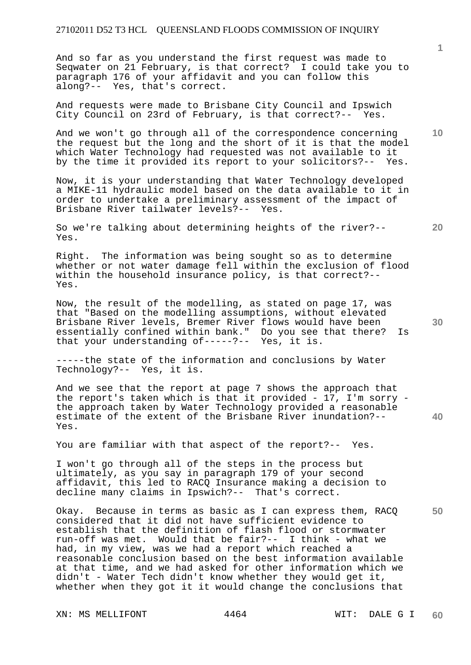And so far as you understand the first request was made to Seqwater on 21 February, is that correct? I could take you to paragraph 176 of your affidavit and you can follow this along?-- Yes, that's correct.

And requests were made to Brisbane City Council and Ipswich City Council on 23rd of February, is that correct?-- Yes.

And we won't go through all of the correspondence concerning the request but the long and the short of it is that the model which Water Technology had requested was not available to it by the time it provided its report to your solicitors?-- Yes.

Now, it is your understanding that Water Technology developed a MIKE-11 hydraulic model based on the data available to it in order to undertake a preliminary assessment of the impact of Brisbane River tailwater levels?-- Yes.

So we're talking about determining heights of the river?-- Yes.

Right. The information was being sought so as to determine whether or not water damage fell within the exclusion of flood within the household insurance policy, is that correct?-- Yes.

Now, the result of the modelling, as stated on page 17, was that "Based on the modelling assumptions, without elevated Brisbane River levels, Bremer River flows would have been essentially confined within bank." Do you see that there? Is that your understanding of-----?-- Yes, it is.

-----the state of the information and conclusions by Water Technology?-- Yes, it is.

And we see that the report at page 7 shows the approach that the report's taken which is that it provided - 17, I'm sorry the approach taken by Water Technology provided a reasonable estimate of the extent of the Brisbane River inundation?-- Yes.

You are familiar with that aspect of the report?-- Yes.

I won't go through all of the steps in the process but ultimately, as you say in paragraph 179 of your second affidavit, this led to RACQ Insurance making a decision to decline many claims in Ipswich?-- That's correct.

**50**  Okay. Because in terms as basic as I can express them, RACQ considered that it did not have sufficient evidence to establish that the definition of flash flood or stormwater run-off was met. Would that be fair?-- I think - what we had, in my view, was we had a report which reached a reasonable conclusion based on the best information available at that time, and we had asked for other information which we didn't - Water Tech didn't know whether they would get it, whether when they got it it would change the conclusions that

XN: MS MELLIFONT 4464 WIT: DALE G I

**1**

**10** 

**20** 

**30**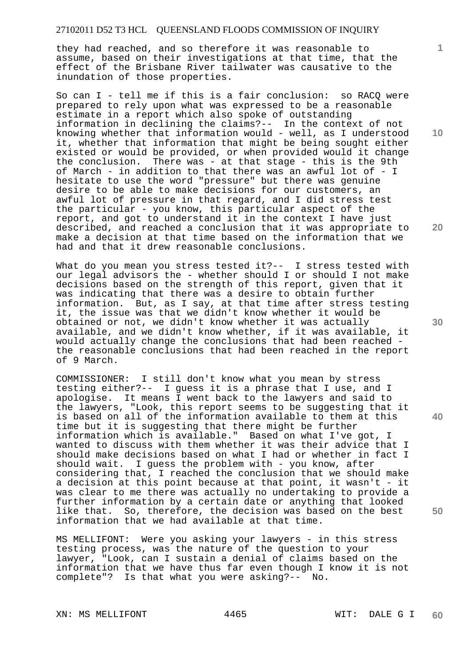they had reached, and so therefore it was reasonable to assume, based on their investigations at that time, that the effect of the Brisbane River tailwater was causative to the inundation of those properties.

So can I - tell me if this is a fair conclusion: so RACQ were prepared to rely upon what was expressed to be a reasonable estimate in a report which also spoke of outstanding information in declining the claims?-- In the context of not knowing whether that information would - well, as I understood it, whether that information that might be being sought either existed or would be provided, or when provided would it change the conclusion. There was - at that stage - this is the 9th of March - in addition to that there was an awful lot of - I hesitate to use the word "pressure" but there was genuine desire to be able to make decisions for our customers, an awful lot of pressure in that regard, and I did stress test the particular - you know, this particular aspect of the report, and got to understand it in the context I have just described, and reached a conclusion that it was appropriate to make a decision at that time based on the information that we had and that it drew reasonable conclusions.

What do you mean you stress tested it ?-- I stress tested with our legal advisors the - whether should I or should I not make decisions based on the strength of this report, given that it was indicating that there was a desire to obtain further information. But, as I say, at that time after stress testing it, the issue was that we didn't know whether it would be obtained or not, we didn't know whether it was actually available, and we didn't know whether, if it was available, it would actually change the conclusions that had been reached the reasonable conclusions that had been reached in the report of 9 March.

COMMISSIONER: I still don't know what you mean by stress testing either?-- I guess it is a phrase that I use, and I apologise. It means I went back to the lawyers and said to the lawyers, "Look, this report seems to be suggesting that it is based on all of the information available to them at this time but it is suggesting that there might be further information which is available." Based on what I've got, I wanted to discuss with them whether it was their advice that I should make decisions based on what I had or whether in fact I should wait. I guess the problem with - you know, after considering that, I reached the conclusion that we should make a decision at this point because at that point, it wasn't - it was clear to me there was actually no undertaking to provide a further information by a certain date or anything that looked like that. So, therefore, the decision was based on the best information that we had available at that time.

MS MELLIFONT: Were you asking your lawyers - in this stress testing process, was the nature of the question to your lawyer, "Look, can I sustain a denial of claims based on the information that we have thus far even though I know it is not complete"? Is that what you were asking?-- No.

XN: MS MELLIFONT 4465 WIT: DALE G I

**10** 

**1**

**20** 

**30** 

**40**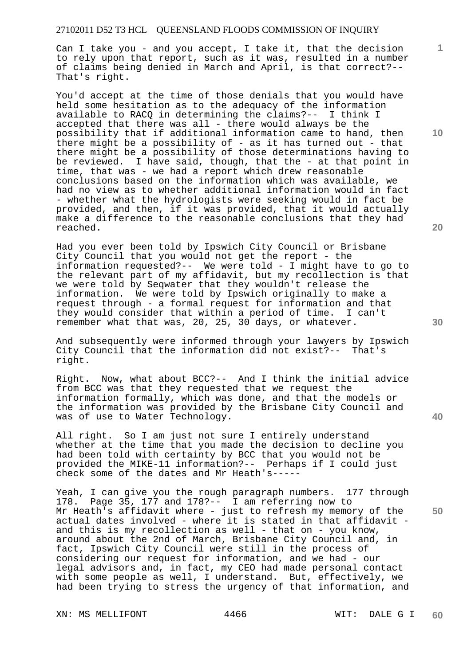Can I take you - and you accept, I take it, that the decision to rely upon that report, such as it was, resulted in a number of claims being denied in March and April, is that correct?-- That's right.

You'd accept at the time of those denials that you would have held some hesitation as to the adequacy of the information available to RACQ in determining the claims?-- I think I accepted that there was all - there would always be the possibility that if additional information came to hand, then there might be a possibility of - as it has turned out - that there might be a possibility of those determinations having to be reviewed. I have said, though, that the - at that point in time, that was - we had a report which drew reasonable conclusions based on the information which was available, we had no view as to whether additional information would in fact - whether what the hydrologists were seeking would in fact be provided, and then, if it was provided, that it would actually make a difference to the reasonable conclusions that they had reached.

Had you ever been told by Ipswich City Council or Brisbane City Council that you would not get the report - the information requested?-- We were told - I might have to go to the relevant part of my affidavit, but my recollection is that we were told by Seqwater that they wouldn't release the information. We were told by Ipswich originally to make a request through - a formal request for information and that they would consider that within a period of time. I can't remember what that was, 20, 25, 30 days, or whatever.

And subsequently were informed through your lawyers by Ipswich City Council that the information did not exist?-- That's right.

Right. Now, what about BCC?-- And I think the initial advice from BCC was that they requested that we request the information formally, which was done, and that the models or the information was provided by the Brisbane City Council and was of use to Water Technology.

All right. So I am just not sure I entirely understand whether at the time that you made the decision to decline you had been told with certainty by BCC that you would not be provided the MIKE-11 information?-- Perhaps if I could just check some of the dates and Mr Heath's-----

Yeah, I can give you the rough paragraph numbers. 177 through 178. Page 35, 177 and 178?-- I am referring now to Mr Heath's affidavit where - just to refresh my memory of the actual dates involved - where it is stated in that affidavit and this is my recollection as well - that on - you know, around about the 2nd of March, Brisbane City Council and, in fact, Ipswich City Council were still in the process of considering our request for information, and we had - our legal advisors and, in fact, my CEO had made personal contact with some people as well, I understand. But, effectively, we had been trying to stress the urgency of that information, and

XN: MS MELLIFONT 4466 WIT: DALE G I

**20** 

**40** 

**50** 

**10**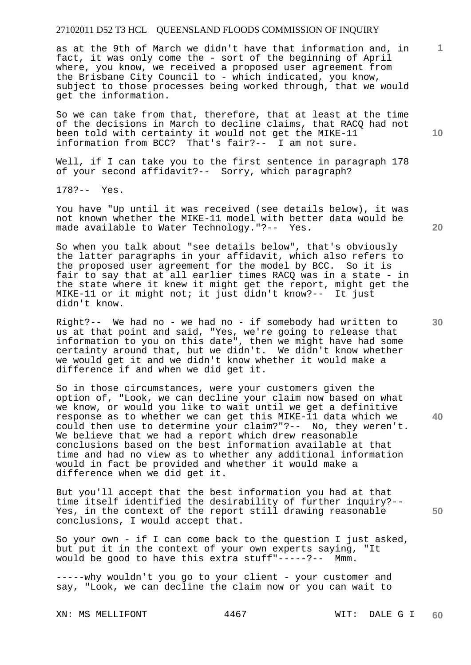as at the 9th of March we didn't have that information and, in fact, it was only come the - sort of the beginning of April where, you know, we received a proposed user agreement from the Brisbane City Council to - which indicated, you know, subject to those processes being worked through, that we would get the information.

So we can take from that, therefore, that at least at the time of the decisions in March to decline claims, that RACQ had not been told with certainty it would not get the MIKE-11 information from BCC? That's fair?-- I am not sure.

Well, if I can take you to the first sentence in paragraph 178 of your second affidavit?-- Sorry, which paragraph?

178?-- Yes.

You have "Up until it was received (see details below), it was not known whether the MIKE-11 model with better data would be made available to Water Technology."?-- Yes.

So when you talk about "see details below", that's obviously the latter paragraphs in your affidavit, which also refers to the proposed user agreement for the model by BCC. So it is fair to say that at all earlier times RACQ was in a state - in the state where it knew it might get the report, might get the MIKE-11 or it might not; it just didn't know?-- It just didn't know.

Right?-- We had no - we had no - if somebody had written to us at that point and said, "Yes, we're going to release that information to you on this date", then we might have had some certainty around that, but we didn't. We didn't know whether we would get it and we didn't know whether it would make a difference if and when we did get it.

So in those circumstances, were your customers given the option of, "Look, we can decline your claim now based on what we know, or would you like to wait until we get a definitive response as to whether we can get this MIKE-11 data which we could then use to determine your claim?"?-- No, they weren't. We believe that we had a report which drew reasonable conclusions based on the best information available at that time and had no view as to whether any additional information would in fact be provided and whether it would make a difference when we did get it.

But you'll accept that the best information you had at that time itself identified the desirability of further inquiry?-- Yes, in the context of the report still drawing reasonable conclusions, I would accept that.

So your own - if I can come back to the question I just asked, but put it in the context of your own experts saying, "It would be good to have this extra stuff"-----?-- Mmm.

-----why wouldn't you go to your client - your customer and say, "Look, we can decline the claim now or you can wait to

XN: MS MELLIFONT 4467 WIT: DALE G I

**10** 

**1**

**30** 

**20** 

**40**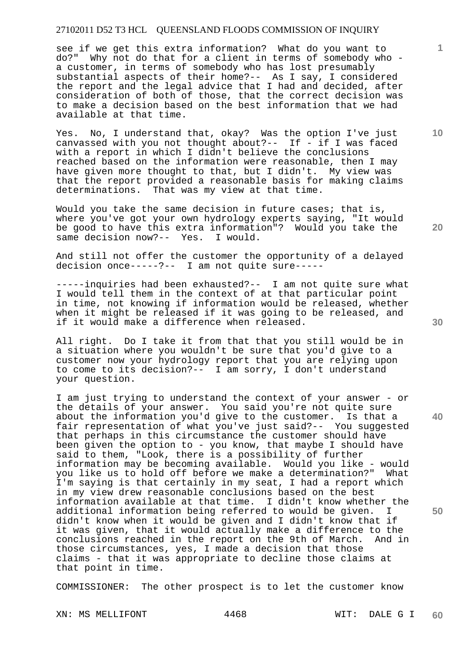see if we get this extra information? What do you want to do?" Why not do that for a client in terms of somebody who a customer, in terms of somebody who has lost presumably substantial aspects of their home?-- As I say, I considered the report and the legal advice that I had and decided, after consideration of both of those, that the correct decision was to make a decision based on the best information that we had available at that time.

Yes. No, I understand that, okay? Was the option I've just canvassed with you not thought about?-- If - if I was faced with a report in which I didn't believe the conclusions reached based on the information were reasonable, then I may have given more thought to that, but I didn't. My view was that the report provided a reasonable basis for making claims determinations. That was my view at that time.

Would you take the same decision in future cases; that is, where you've got your own hydrology experts saying, "It would be good to have this extra information"? Would you take the same decision now?-- Yes. I would. same decision now?-- Yes.

And still not offer the customer the opportunity of a delayed decision once-----?-- I am not quite sure-----

-----inquiries had been exhausted?-- I am not quite sure what I would tell them in the context of at that particular point in time, not knowing if information would be released, whether when it might be released if it was going to be released, and if it would make a difference when released.

All right. Do I take it from that that you still would be in a situation where you wouldn't be sure that you'd give to a customer now your hydrology report that you are relying upon to come to its decision?-- I am sorry, I don't understand your question.

I am just trying to understand the context of your answer - or the details of your answer. You said you're not quite sure about the information you'd give to the customer. Is that a fair representation of what you've just said?-- You suggested that perhaps in this circumstance the customer should have been given the option to - you know, that maybe I should have said to them, "Look, there is a possibility of further information may be becoming available. Would you like - would you like us to hold off before we make a determination?" What I'm saying is that certainly in my seat, I had a report which in my view drew reasonable conclusions based on the best information available at that time. I didn't know whether the additional information being referred to would be given. I didn't know when it would be given and I didn't know that if it was given, that it would actually make a difference to the conclusions reached in the report on the 9th of March. And in those circumstances, yes, I made a decision that those claims - that it was appropriate to decline those claims at that point in time.

COMMISSIONER: The other prospect is to let the customer know

XN: MS MELLIFONT 4468 WIT: DALE G I

**20** 

**30** 

**50** 

**10**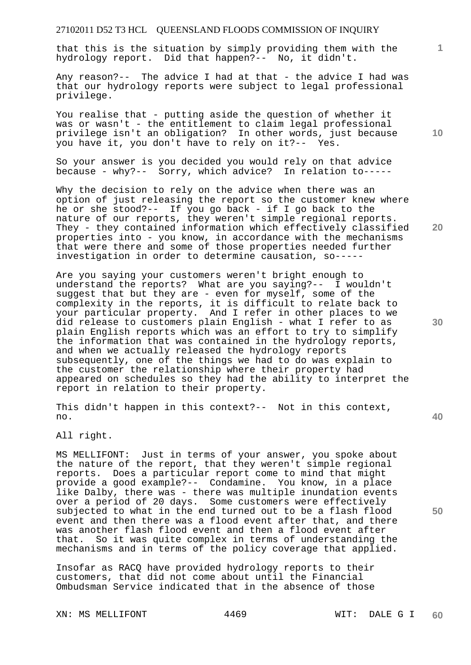that this is the situation by simply providing them with the hydrology report. Did that happen?-- No, it didn't.

Any reason?-- The advice I had at that - the advice I had was that our hydrology reports were subject to legal professional privilege.

You realise that - putting aside the question of whether it was or wasn't - the entitlement to claim legal professional privilege isn't an obligation? In other words, just because you have it, you don't have to rely on it?-- Yes.

So your answer is you decided you would rely on that advice because - why?-- Sorry, which advice? In relation to-----

Why the decision to rely on the advice when there was an option of just releasing the report so the customer knew where he or she stood?-- If you go back - if I go back to the nature of our reports, they weren't simple regional reports. They - they contained information which effectively classified properties into - you know, in accordance with the mechanisms that were there and some of those properties needed further investigation in order to determine causation, so-----

Are you saying your customers weren't bright enough to understand the reports? What are you saying?-- I wouldn't suggest that but they are - even for myself, some of the complexity in the reports, it is difficult to relate back to your particular property. And I refer in other places to we did release to customers plain English - what I refer to as plain English reports which was an effort to try to simplify the information that was contained in the hydrology reports, and when we actually released the hydrology reports subsequently, one of the things we had to do was explain to the customer the relationship where their property had appeared on schedules so they had the ability to interpret the report in relation to their property.

This didn't happen in this context?-- Not in this context, no.

All right.

MS MELLIFONT: Just in terms of your answer, you spoke about the nature of the report, that they weren't simple regional reports. Does a particular report come to mind that might provide a good example?-- Condamine. You know, in a place like Dalby, there was - there was multiple inundation events over a period of 20 days. Some customers were effectively subjected to what in the end turned out to be a flash flood event and then there was a flood event after that, and there was another flash flood event and then a flood event after that. So it was quite complex in terms of understanding the mechanisms and in terms of the policy coverage that applied.

Insofar as RACQ have provided hydrology reports to their customers, that did not come about until the Financial Ombudsman Service indicated that in the absence of those

XN: MS MELLIFONT 4469 WIT: DALE G I

**30** 

**40** 

**50** 

**1**

**10**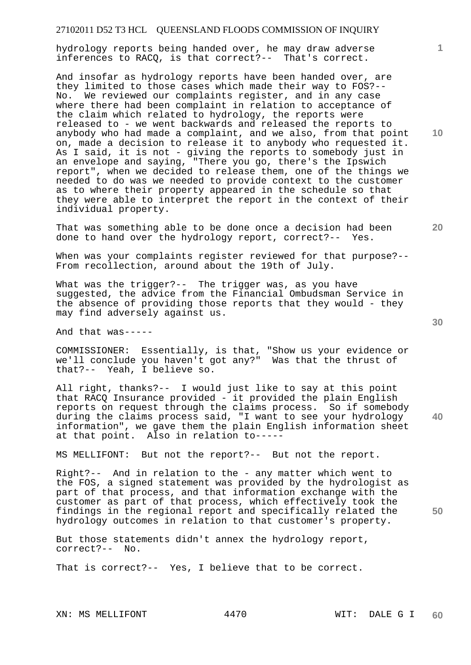hydrology reports being handed over, he may draw adverse inferences to RACQ, is that correct?-- That's correct.

And insofar as hydrology reports have been handed over, are they limited to those cases which made their way to FOS?-- No. We reviewed our complaints register, and in any case where there had been complaint in relation to acceptance of the claim which related to hydrology, the reports were released to - we went backwards and released the reports to anybody who had made a complaint, and we also, from that point on, made a decision to release it to anybody who requested it. As I said, it is not - giving the reports to somebody just in an envelope and saying, "There you go, there's the Ipswich report", when we decided to release them, one of the things we needed to do was we needed to provide context to the customer as to where their property appeared in the schedule so that they were able to interpret the report in the context of their individual property.

That was something able to be done once a decision had been done to hand over the hydrology report, correct?-- Yes.

When was your complaints register reviewed for that purpose?--From recollection, around about the 19th of July.

What was the trigger?-- The trigger was, as you have suggested, the advice from the Financial Ombudsman Service in the absence of providing those reports that they would - they may find adversely against us.

And that was-----

COMMISSIONER: Essentially, is that, "Show us your evidence or we'll conclude you haven't got any?" Was that the thrust of that?-- Yeah, I believe so.

All right, thanks?-- I would just like to say at this point that RACQ Insurance provided - it provided the plain English reports on request through the claims process. So if somebody during the claims process said, "I want to see your hydrology information", we gave them the plain English information sheet at that point. Also in relation to-----

MS MELLIFONT: But not the report?-- But not the report.

Right?-- And in relation to the - any matter which went to the FOS, a signed statement was provided by the hydrologist as part of that process, and that information exchange with the customer as part of that process, which effectively took the findings in the regional report and specifically related the hydrology outcomes in relation to that customer's property.

But those statements didn't annex the hydrology report, correct?-- No.

That is correct?-- Yes, I believe that to be correct.

**20** 

**40** 

**50** 

**10**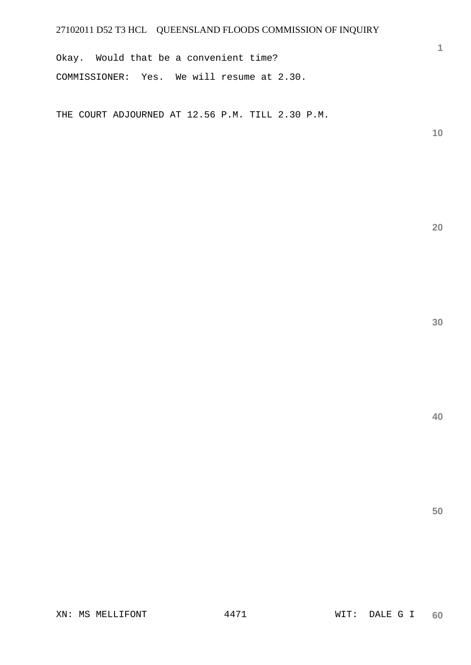Okay. Would that be a convenient time? COMMISSIONER: Yes. We will resume at 2.30.

THE COURT ADJOURNED AT 12.56 P.M. TILL 2.30 P.M.

**10** 

**1**

**20**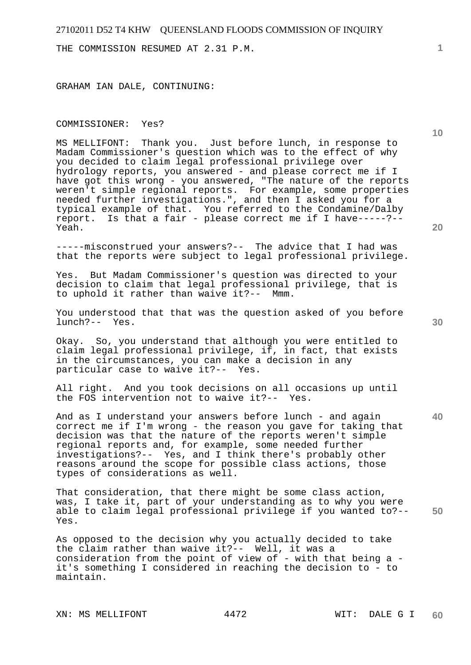THE COMMISSION RESUMED AT 2.31 P.M.

GRAHAM IAN DALE, CONTINUING:

#### COMMISSIONER: Yes?

MS MELLIFONT: Thank you. Just before lunch, in response to Madam Commissioner's question which was to the effect of why you decided to claim legal professional privilege over hydrology reports, you answered - and please correct me if I have got this wrong - you answered, "The nature of the reports weren't simple regional reports. For example, some properties needed further investigations.", and then I asked you for a typical example of that. You referred to the Condamine/Dalby report. Is that a fair - please correct me if I have-----?-- Yeah.

-----misconstrued your answers?-- The advice that I had was that the reports were subject to legal professional privilege.

Yes. But Madam Commissioner's question was directed to your decision to claim that legal professional privilege, that is to uphold it rather than waive it?-- Mmm.

You understood that that was the question asked of you before lunch?-- Yes.

Okay. So, you understand that although you were entitled to claim legal professional privilege, if, in fact, that exists in the circumstances, you can make a decision in any particular case to waive it?-- Yes.

All right. And you took decisions on all occasions up until the FOS intervention not to waive it?-- Yes.

And as I understand your answers before lunch - and again correct me if I'm wrong - the reason you gave for taking that decision was that the nature of the reports weren't simple regional reports and, for example, some needed further investigations?-- Yes, and I think there's probably other reasons around the scope for possible class actions, those types of considerations as well.

**50**  That consideration, that there might be some class action, was, I take it, part of your understanding as to why you were able to claim legal professional privilege if you wanted to?-- Yes.

As opposed to the decision why you actually decided to take the claim rather than waive it?-- Well, it was a consideration from the point of view of - with that being a it's something I considered in reaching the decision to - to maintain.

XN: MS MELLIFONT 4472 WIT: DALE G I

**20** 

**10** 

**40**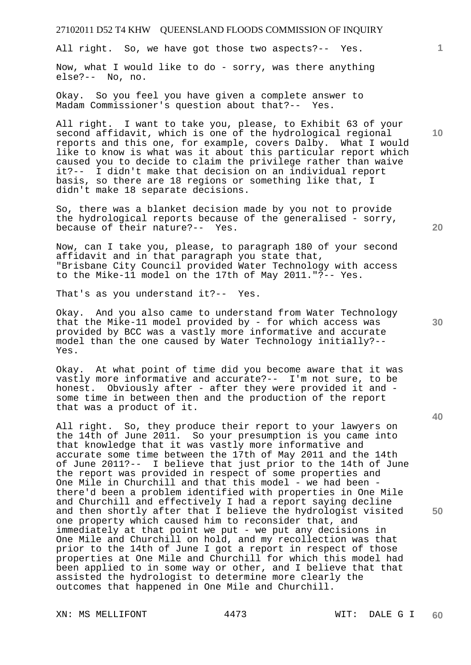All right. So, we have got those two aspects?-- Yes.

Now, what I would like to do - sorry, was there anything else?-- No, no.

Okay. So you feel you have given a complete answer to Madam Commissioner's question about that?-- Yes.

All right. I want to take you, please, to Exhibit 63 of your second affidavit, which is one of the hydrological regional reports and this one, for example, covers Dalby. What I would like to know is what was it about this particular report which caused you to decide to claim the privilege rather than waive it?-- I didn't make that decision on an individual report basis, so there are 18 regions or something like that, I didn't make 18 separate decisions.

So, there was a blanket decision made by you not to provide the hydrological reports because of the generalised - sorry, because of their nature?-- Yes.

Now, can I take you, please, to paragraph 180 of your second affidavit and in that paragraph you state that, "Brisbane City Council provided Water Technology with access to the Mike-11 model on the 17th of May 2011."?-- Yes.

That's as you understand it?-- Yes.

Okay. And you also came to understand from Water Technology that the Mike-11 model provided by - for which access was provided by BCC was a vastly more informative and accurate model than the one caused by Water Technology initially?-- Yes.

Okay. At what point of time did you become aware that it was vastly more informative and accurate?-- I'm not sure, to be honest. Obviously after - after they were provided it and some time in between then and the production of the report that was a product of it.

All right. So, they produce their report to your lawyers on the 14th of June 2011. So your presumption is you came into that knowledge that it was vastly more informative and accurate some time between the 17th of May 2011 and the 14th of June 2011?-- I believe that just prior to the 14th of June the report was provided in respect of some properties and One Mile in Churchill and that this model - we had been there'd been a problem identified with properties in One Mile and Churchill and effectively I had a report saying decline and then shortly after that I believe the hydrologist visited one property which caused him to reconsider that, and immediately at that point we put - we put any decisions in One Mile and Churchill on hold, and my recollection was that prior to the 14th of June I got a report in respect of those properties at One Mile and Churchill for which this model had been applied to in some way or other, and I believe that that assisted the hydrologist to determine more clearly the outcomes that happened in One Mile and Churchill.

XN: MS MELLIFONT 4473 WIT: DALE G I

**10** 

**1**

**40**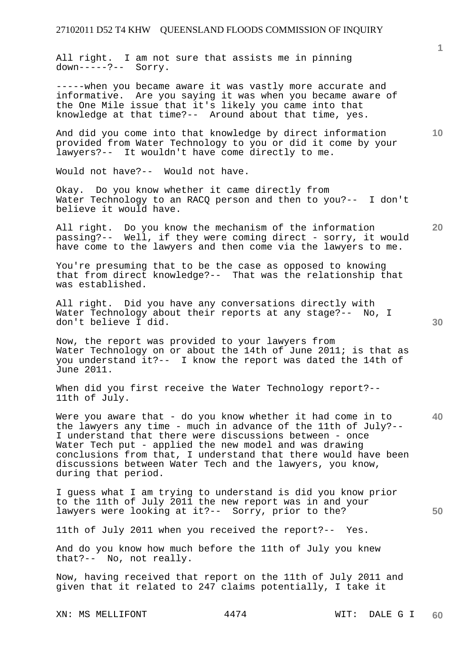All right. I am not sure that assists me in pinning down-----?-- Sorry.

-----when you became aware it was vastly more accurate and informative. Are you saying it was when you became aware of the One Mile issue that it's likely you came into that knowledge at that time?-- Around about that time, yes.

And did you come into that knowledge by direct information provided from Water Technology to you or did it come by your lawyers?-- It wouldn't have come directly to me.

Would not have?-- Would not have.

Okay. Do you know whether it came directly from Water Technology to an RACQ person and then to you?-- I don't believe it would have.

All right. Do you know the mechanism of the information passing?-- Well, if they were coming direct - sorry, it would have come to the lawyers and then come via the lawyers to me.

You're presuming that to be the case as opposed to knowing that from direct knowledge?-- That was the relationship that was established.

All right. Did you have any conversations directly with Water Technology about their reports at any stage? -- No, I don't believe I did.

Now, the report was provided to your lawyers from Water Technology on or about the 14th of June 2011; is that as you understand it?-- I know the report was dated the 14th of June 2011.

When did you first receive the Water Technology report?--11th of July.

**40**  Were you aware that - do you know whether it had come in to the lawyers any time - much in advance of the 11th of July?-- I understand that there were discussions between - once Water Tech put - applied the new model and was drawing conclusions from that, I understand that there would have been discussions between Water Tech and the lawyers, you know, during that period.

I guess what I am trying to understand is did you know prior to the 11th of July 2011 the new report was in and your lawyers were looking at it?-- Sorry, prior to the?

11th of July 2011 when you received the report?-- Yes.

And do you know how much before the 11th of July you knew that?-- No, not really.

Now, having received that report on the 11th of July 2011 and given that it related to 247 claims potentially, I take it

XN: MS MELLIFONT 4474 WIT: DALE G I

**10** 

**20** 

**50**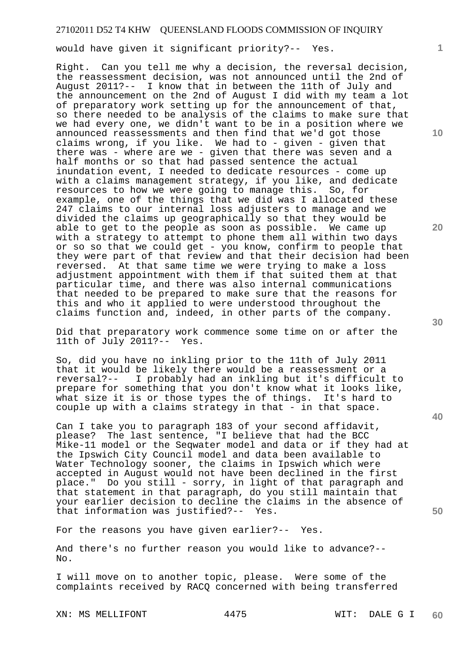would have given it significant priority?-- Yes.

Right. Can you tell me why a decision, the reversal decision, the reassessment decision, was not announced until the 2nd of August 2011?-- I know that in between the 11th of July and the announcement on the 2nd of August I did with my team a lot of preparatory work setting up for the announcement of that, so there needed to be analysis of the claims to make sure that we had every one, we didn't want to be in a position where we announced reassessments and then find that we'd got those claims wrong, if you like. We had to - given - given that there was - where are we - given that there was seven and a half months or so that had passed sentence the actual inundation event, I needed to dedicate resources - come up with a claims management strategy, if you like, and dedicate resources to how we were going to manage this. So, for example, one of the things that we did was I allocated these 247 claims to our internal loss adjusters to manage and we divided the claims up geographically so that they would be able to get to the people as soon as possible. We came up with a strategy to attempt to phone them all within two days or so so that we could get - you know, confirm to people that they were part of that review and that their decision had been reversed. At that same time we were trying to make a loss adjustment appointment with them if that suited them at that particular time, and there was also internal communications that needed to be prepared to make sure that the reasons for this and who it applied to were understood throughout the claims function and, indeed, in other parts of the company.

Did that preparatory work commence some time on or after the 11th of July 2011?-- Yes.

So, did you have no inkling prior to the 11th of July 2011 that it would be likely there would be a reassessment or a reversal?-- I probably had an inkling but it's difficult to prepare for something that you don't know what it looks like, what size it is or those types the of things. It's hard to couple up with a claims strategy in that - in that space.

Can I take you to paragraph 183 of your second affidavit, please? The last sentence, "I believe that had the BCC Mike-11 model or the Seqwater model and data or if they had at the Ipswich City Council model and data been available to Water Technology sooner, the claims in Ipswich which were accepted in August would not have been declined in the first place." Do you still - sorry, in light of that paragraph and that statement in that paragraph, do you still maintain that your earlier decision to decline the claims in the absence of that information was justified?-- Yes.

For the reasons you have given earlier?-- Yes.

And there's no further reason you would like to advance?-- No.

I will move on to another topic, please. Were some of the complaints received by RACQ concerned with being transferred

XN: MS MELLIFONT 4475 WIT: DALE G I

**10** 

**1**

**30** 

**20** 

**40**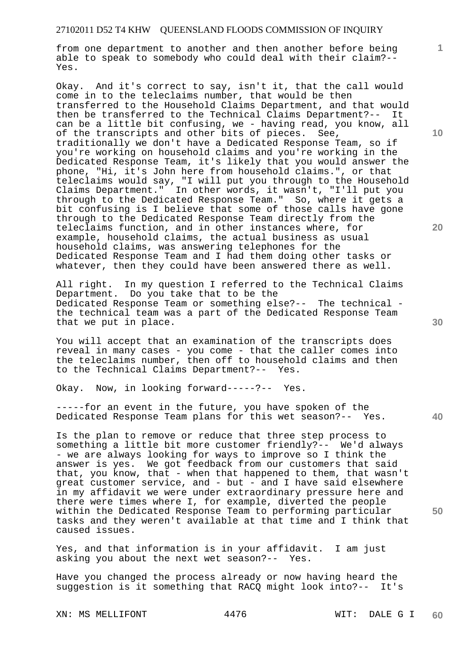from one department to another and then another before being able to speak to somebody who could deal with their claim?-- Yes.

Okay. And it's correct to say, isn't it, that the call would come in to the teleclaims number, that would be then transferred to the Household Claims Department, and that would then be transferred to the Technical Claims Department?-- It can be a little bit confusing, we - having read, you know, all of the transcripts and other bits of pieces. See, traditionally we don't have a Dedicated Response Team, so if you're working on household claims and you're working in the Dedicated Response Team, it's likely that you would answer the phone, "Hi, it's John here from household claims.", or that teleclaims would say, "I will put you through to the Household Claims Department." In other words, it wasn't, "I'll put you through to the Dedicated Response Team." So, where it gets a bit confusing is I believe that some of those calls have gone through to the Dedicated Response Team directly from the teleclaims function, and in other instances where, for example, household claims, the actual business as usual household claims, was answering telephones for the Dedicated Response Team and I had them doing other tasks or whatever, then they could have been answered there as well.

All right. In my question I referred to the Technical Claims Department. Do you take that to be the Dedicated Response Team or something else?-- The technical the technical team was a part of the Dedicated Response Team that we put in place.

You will accept that an examination of the transcripts does reveal in many cases - you come - that the caller comes into the teleclaims number, then off to household claims and then to the Technical Claims Department?-- Yes.

Okay. Now, in looking forward-----?-- Yes.

-----for an event in the future, you have spoken of the Dedicated Response Team plans for this wet season?-- Yes.

Is the plan to remove or reduce that three step process to something a little bit more customer friendly?-- We'd always - we are always looking for ways to improve so I think the answer is yes. We got feedback from our customers that said that, you know, that - when that happened to them, that wasn't great customer service, and - but - and I have said elsewhere in my affidavit we were under extraordinary pressure here and there were times where I, for example, diverted the people within the Dedicated Response Team to performing particular tasks and they weren't available at that time and I think that caused issues.

Yes, and that information is in your affidavit. I am just asking you about the next wet season?-- Yes.

Have you changed the process already or now having heard the suggestion is it something that RACQ might look into?-- It's

XN: MS MELLIFONT 4476 WIT: DALE G I

**10** 

**1**

**20** 

**30** 

**40**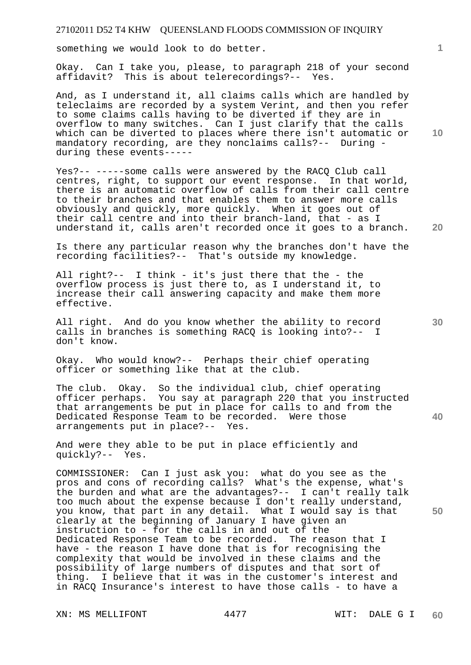something we would look to do better.

Okay. Can I take you, please, to paragraph 218 of your second affidavit? This is about telerecordings?-- Yes.

And, as I understand it, all claims calls which are handled by teleclaims are recorded by a system Verint, and then you refer to some claims calls having to be diverted if they are in overflow to many switches. Can I just clarify that the calls which can be diverted to places where there isn't automatic or mandatory recording, are they nonclaims calls?-- During during these events-----

Yes?-- -----some calls were answered by the RACQ Club call centres, right, to support our event response. In that world, there is an automatic overflow of calls from their call centre to their branches and that enables them to answer more calls obviously and quickly, more quickly. When it goes out of their call centre and into their branch-land, that - as I understand it, calls aren't recorded once it goes to a branch.

Is there any particular reason why the branches don't have the recording facilities?-- That's outside my knowledge.

All right?-- I think - it's just there that the - the overflow process is just there to, as I understand it, to increase their call answering capacity and make them more effective.

All right. And do you know whether the ability to record calls in branches is something RACQ is looking into?-- I don't know.

Okay. Who would know?-- Perhaps their chief operating officer or something like that at the club.

**40**  The club. Okay. So the individual club, chief operating officer perhaps. You say at paragraph 220 that you instructed that arrangements be put in place for calls to and from the Dedicated Response Team to be recorded. Were those arrangements put in place?-- Yes.

And were they able to be put in place efficiently and quickly?-- Yes.

COMMISSIONER: Can I just ask you: what do you see as the pros and cons of recording calls? What's the expense, what's the burden and what are the advantages?-- I can't really talk too much about the expense because I don't really understand, you know, that part in any detail. What I would say is that clearly at the beginning of January I have given an instruction to - for the calls in and out of the Dedicated Response Team to be recorded. The reason that I have - the reason I have done that is for recognising the complexity that would be involved in these claims and the possibility of large numbers of disputes and that sort of thing. I believe that it was in the customer's interest and in RACQ Insurance's interest to have those calls - to have a

XN: MS MELLIFONT 4477 WIT: DALE G I

**10** 

**1**

**30** 

**50**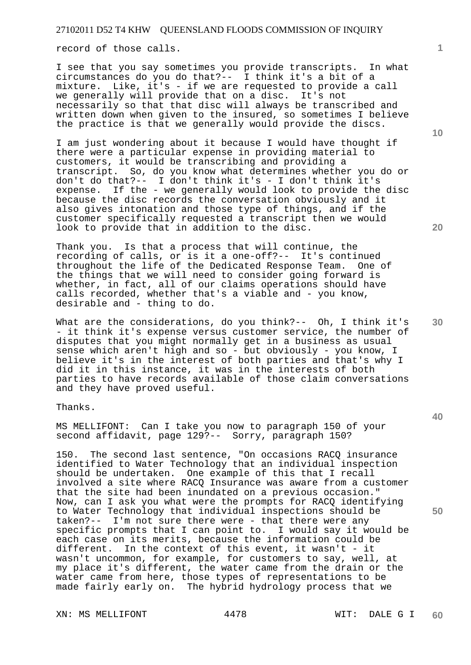record of those calls.

I see that you say sometimes you provide transcripts. In what circumstances do you do that?-- I think it's a bit of a mixture. Like, it's - if we are requested to provide a call we generally will provide that on a disc. It's not necessarily so that that disc will always be transcribed and written down when given to the insured, so sometimes I believe the practice is that we generally would provide the discs.

I am just wondering about it because I would have thought if there were a particular expense in providing material to customers, it would be transcribing and providing a transcript. So, do you know what determines whether you do or don't do that?-- I don't think it's - I don't think it's expense. If the - we generally would look to provide the disc because the disc records the conversation obviously and it also gives intonation and those type of things, and if the customer specifically requested a transcript then we would look to provide that in addition to the disc.

Thank you. Is that a process that will continue, the recording of calls, or is it a one-off?-- It's continued throughout the life of the Dedicated Response Team. One of the things that we will need to consider going forward is whether, in fact, all of our claims operations should have calls recorded, whether that's a viable and - you know, desirable and - thing to do.

What are the considerations, do you think?-- Oh, I think it's - it think it's expense versus customer service, the number of disputes that you might normally get in a business as usual sense which aren't high and so - but obviously - you know, I believe it's in the interest of both parties and that's why I did it in this instance, it was in the interests of both parties to have records available of those claim conversations and they have proved useful.

Thanks.

MS MELLIFONT: Can I take you now to paragraph 150 of your second affidavit, page 129?-- Sorry, paragraph 150?

150. The second last sentence, "On occasions RACQ insurance identified to Water Technology that an individual inspection should be undertaken. One example of this that I recall involved a site where RACQ Insurance was aware from a customer that the site had been inundated on a previous occasion." Now, can I ask you what were the prompts for RACQ identifying to Water Technology that individual inspections should be taken?-- I'm not sure there were - that there were any specific prompts that I can point to. I would say it would be each case on its merits, because the information could be different. In the context of this event, it wasn't - it wasn't uncommon, for example, for customers to say, well, at my place it's different, the water came from the drain or the water came from here, those types of representations to be made fairly early on. The hybrid hydrology process that we

XN: MS MELLIFONT 4478 WIT: DALE G I

**1**

**30** 

**20**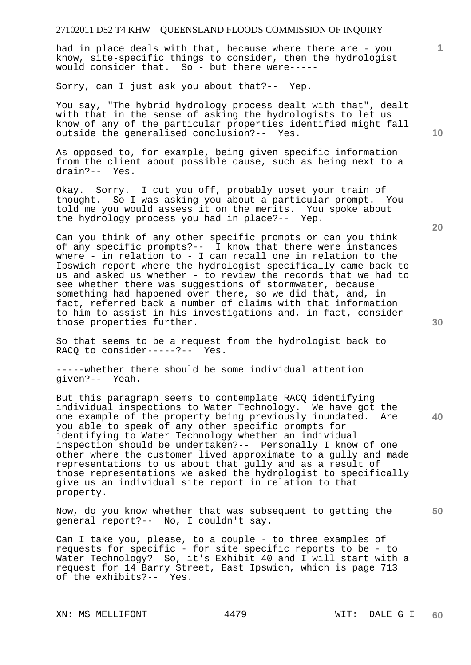had in place deals with that, because where there are - you know, site-specific things to consider, then the hydrologist would consider that. So - but there were-----

Sorry, can I just ask you about that?-- Yep.

You say, "The hybrid hydrology process dealt with that", dealt with that in the sense of asking the hydrologists to let us know of any of the particular properties identified might fall outside the generalised conclusion?-- Yes.

As opposed to, for example, being given specific information from the client about possible cause, such as being next to a drain?-- Yes.

Okay. Sorry. I cut you off, probably upset your train of thought. So I was asking you about a particular prompt. You told me you would assess it on the merits. You spoke about the hydrology process you had in place?-- Yep.

Can you think of any other specific prompts or can you think of any specific prompts?-- I know that there were instances where - in relation to - I can recall one in relation to the Ipswich report where the hydrologist specifically came back to us and asked us whether - to review the records that we had to see whether there was suggestions of stormwater, because something had happened over there, so we did that, and, in fact, referred back a number of claims with that information to him to assist in his investigations and, in fact, consider those properties further.

So that seems to be a request from the hydrologist back to RACQ to consider-----?-- Yes.

-----whether there should be some individual attention given?-- Yeah.

But this paragraph seems to contemplate RACQ identifying individual inspections to Water Technology. We have got the one example of the property being previously inundated. Are you able to speak of any other specific prompts for identifying to Water Technology whether an individual inspection should be undertaken?-- Personally I know of one other where the customer lived approximate to a gully and made representations to us about that gully and as a result of those representations we asked the hydrologist to specifically give us an individual site report in relation to that property.

**50**  Now, do you know whether that was subsequent to getting the general report?-- No, I couldn't say.

Can I take you, please, to a couple - to three examples of requests for specific - for site specific reports to be - to Water Technology? So, it's Exhibit 40 and I will start with a request for 14 Barry Street, East Ipswich, which is page 713 of the exhibits?-- Yes.

XN: MS MELLIFONT 4479 WIT: DALE G I

**10** 

**1**

**20**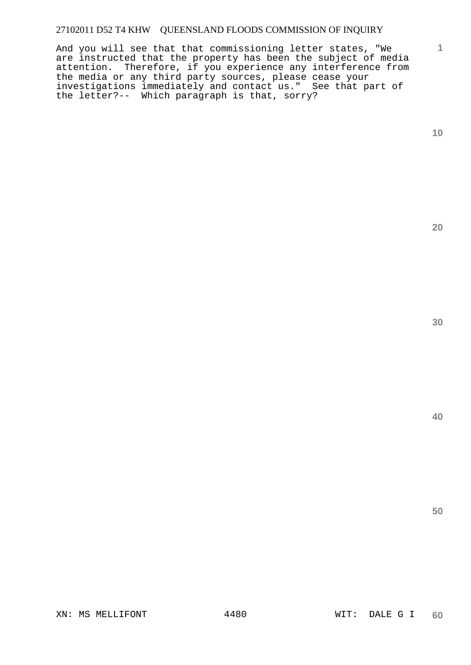And you will see that that commissioning letter states, "We are instructed that the property has been the subject of media attention. Therefore, if you experience any interference from the media or any third party sources, please cease your investigations immediately and contact us." See that part of the letter?-- Which paragraph is that, sorry?

**10** 

**1**

**20** 

**30**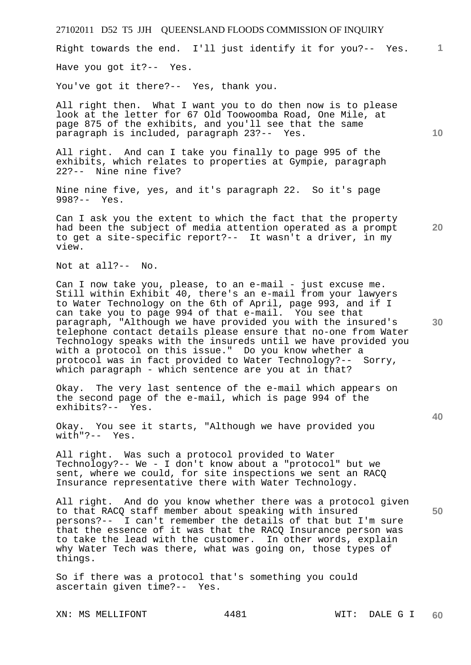**1** Right towards the end. I'll just identify it for you?-- Yes.

Have you got it?-- Yes.

You've got it there?-- Yes, thank you.

All right then. What I want you to do then now is to please look at the letter for 67 Old Toowoomba Road, One Mile, at page 875 of the exhibits, and you'll see that the same paragraph is included, paragraph 23?-- Yes.

All right. And can I take you finally to page 995 of the exhibits, which relates to properties at Gympie, paragraph 22?-- Nine nine five?

Nine nine five, yes, and it's paragraph 22. So it's page 998?-- Yes.

Can I ask you the extent to which the fact that the property had been the subject of media attention operated as a prompt to get a site-specific report?-- It wasn't a driver, in my view.

Not at all?-- No.

Can I now take you, please, to an e-mail - just excuse me. Still within Exhibit 40, there's an e-mail from your lawyers to Water Technology on the 6th of April, page 993, and if I can take you to page 994 of that e-mail. You see that paragraph, "Although we have provided you with the insured's telephone contact details please ensure that no-one from Water Technology speaks with the insureds until we have provided you with a protocol on this issue." Do you know whether a protocol was in fact provided to Water Technology?-- Sorry, which paragraph - which sentence are you at in that?

Okay. The very last sentence of the e-mail which appears on the second page of the e-mail, which is page 994 of the exhibits?-- Yes.

Okay. You see it starts, "Although we have provided you with"?-- Yes.

All right. Was such a protocol provided to Water Technology?-- We - I don't know about a "protocol" but we sent, where we could, for site inspections we sent an RACQ Insurance representative there with Water Technology.

All right. And do you know whether there was a protocol given to that RACQ staff member about speaking with insured persons?-- I can't remember the details of that but I'm sure that the essence of it was that the RACQ Insurance person was to take the lead with the customer. In other words, explain why Water Tech was there, what was going on, those types of things.

So if there was a protocol that's something you could ascertain given time?-- Yes.

**10** 

**20** 

**30** 

**40**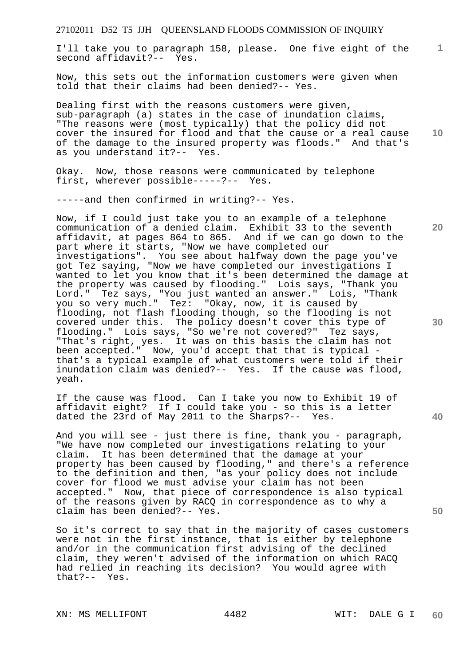**1** I'll take you to paragraph 158, please. One five eight of the second affidavit?-- Yes.

Now, this sets out the information customers were given when told that their claims had been denied?-- Yes.

**10**  Dealing first with the reasons customers were given, sub-paragraph (a) states in the case of inundation claims, "The reasons were (most typically) that the policy did not cover the insured for flood and that the cause or a real cause of the damage to the insured property was floods." And that's as you understand it?-- Yes.

Okay. Now, those reasons were communicated by telephone first, wherever possible-----?-- Yes.

-----and then confirmed in writing?-- Yes.

Now, if I could just take you to an example of a telephone communication of a denied claim. Exhibit 33 to the seventh affidavit, at pages 864 to 865. And if we can go down to the part where it starts, "Now we have completed our investigations". You see about halfway down the page you've got Tez saying, "Now we have completed our investigations I wanted to let you know that it's been determined the damage at the property was caused by flooding." Lois says, "Thank you Lord." Tez says, "You just wanted an answer." Lois, "Thank you so very much." Tez: "Okay, now, it is caused by flooding, not flash flooding though, so the flooding is not covered under this. The policy doesn't cover this type of flooding." Lois says, "So we're not covered?" Tez says, "That's right, yes. It was on this basis the claim has not been accepted." Now, you'd accept that that is typical that's a typical example of what customers were told if their inundation claim was denied?-- Yes. If the cause was flood, yeah.

If the cause was flood. Can I take you now to Exhibit 19 of affidavit eight? If I could take you - so this is a letter dated the 23rd of May 2011 to the Sharps?-- Yes.

And you will see - just there is fine, thank you - paragraph, "We have now completed our investigations relating to your claim. It has been determined that the damage at your property has been caused by flooding," and there's a reference to the definition and then, "as your policy does not include cover for flood we must advise your claim has not been accepted." Now, that piece of correspondence is also typical of the reasons given by RACQ in correspondence as to why a claim has been denied?-- Yes.

So it's correct to say that in the majority of cases customers were not in the first instance, that is either by telephone and/or in the communication first advising of the declined claim, they weren't advised of the information on which RACQ had relied in reaching its decision? You would agree with that?-- Yes.

XN: MS MELLIFONT 4482 WIT: DALE G I

**30** 

**20** 

**40**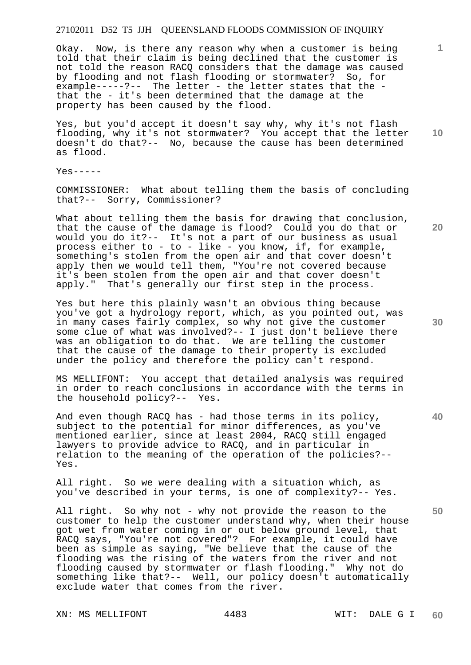Okay. Now, is there any reason why when a customer is being told that their claim is being declined that the customer is not told the reason RACQ considers that the damage was caused by flooding and not flash flooding or stormwater? So, for example-----?-- The letter - the letter states that the that the - it's been determined that the damage at the property has been caused by the flood.

Yes, but you'd accept it doesn't say why, why it's not flash flooding, why it's not stormwater? You accept that the letter doesn't do that?-- No, because the cause has been determined as flood.

 $Y_{PS}$ -----

COMMISSIONER: What about telling them the basis of concluding that?-- Sorry, Commissioner?

What about telling them the basis for drawing that conclusion, that the cause of the damage is flood? Could you do that or would you do it?-- It's not a part of our business as usual process either to - to - like - you know, if, for example, something's stolen from the open air and that cover doesn't apply then we would tell them, "You're not covered because it's been stolen from the open air and that cover doesn't apply." That's generally our first step in the process.

Yes but here this plainly wasn't an obvious thing because you've got a hydrology report, which, as you pointed out, was in many cases fairly complex, so why not give the customer some clue of what was involved?-- I just don't believe there was an obligation to do that. We are telling the customer that the cause of the damage to their property is excluded under the policy and therefore the policy can't respond.

MS MELLIFONT: You accept that detailed analysis was required in order to reach conclusions in accordance with the terms in the household policy?-- Yes.

And even though RACQ has - had those terms in its policy, subject to the potential for minor differences, as you've mentioned earlier, since at least 2004, RACQ still engaged lawyers to provide advice to RACQ, and in particular in relation to the meaning of the operation of the policies?-- Yes.

All right. So we were dealing with a situation which, as you've described in your terms, is one of complexity?-- Yes.

All right. So why not - why not provide the reason to the customer to help the customer understand why, when their house got wet from water coming in or out below ground level, that RACQ says, "You're not covered"? For example, it could have been as simple as saying, "We believe that the cause of the flooding was the rising of the waters from the river and not flooding caused by stormwater or flash flooding." Why not do something like that?-- Well, our policy doesn't automatically exclude water that comes from the river.

**10** 

**1**

**20** 

**30** 

**40**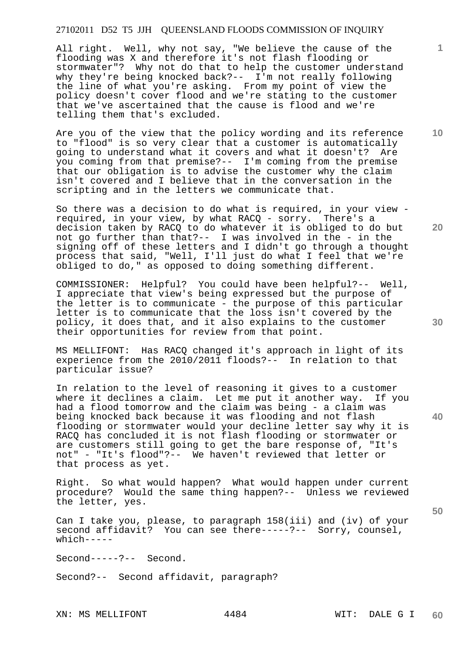All right. Well, why not say, "We believe the cause of the flooding was X and therefore it's not flash flooding or stormwater"? Why not do that to help the customer understand why they're being knocked back?-- I'm not really following the line of what you're asking. From my point of view the policy doesn't cover flood and we're stating to the customer that we've ascertained that the cause is flood and we're telling them that's excluded.

Are you of the view that the policy wording and its reference to "flood" is so very clear that a customer is automatically going to understand what it covers and what it doesn't? Are you coming from that premise?-- I'm coming from the premise that our obligation is to advise the customer why the claim isn't covered and I believe that in the conversation in the scripting and in the letters we communicate that.

So there was a decision to do what is required, in your view required, in your view, by what RACQ - sorry. There's a decision taken by RACQ to do whatever it is obliged to do but not go further than that?-- I was involved in the - in the signing off of these letters and I didn't go through a thought process that said, "Well, I'll just do what I feel that we're obliged to do," as opposed to doing something different.

COMMISSIONER: Helpful? You could have been helpful?-- Well, I appreciate that view's being expressed but the purpose of the letter is to communicate - the purpose of this particular letter is to communicate that the loss isn't covered by the policy, it does that, and it also explains to the customer their opportunities for review from that point.

MS MELLIFONT: Has RACQ changed it's approach in light of its experience from the 2010/2011 floods?-- In relation to that particular issue?

In relation to the level of reasoning it gives to a customer where it declines a claim. Let me put it another way. If you had a flood tomorrow and the claim was being - a claim was being knocked back because it was flooding and not flash flooding or stormwater would your decline letter say why it is RACQ has concluded it is not flash flooding or stormwater or are customers still going to get the bare response of, "It's not" - "It's flood"?-- We haven't reviewed that letter or that process as yet.

Right. So what would happen? What would happen under current procedure? Would the same thing happen?-- Unless we reviewed the letter, yes.

Can I take you, please, to paragraph 158(iii) and (iv) of your second affidavit? You can see there-----?-- Sorry, counsel, which-----

Second-----?-- Second.

Second?-- Second affidavit, paragraph?

XN: MS MELLIFONT 4484

**10** 

**1**

**20** 

**40** 

**30**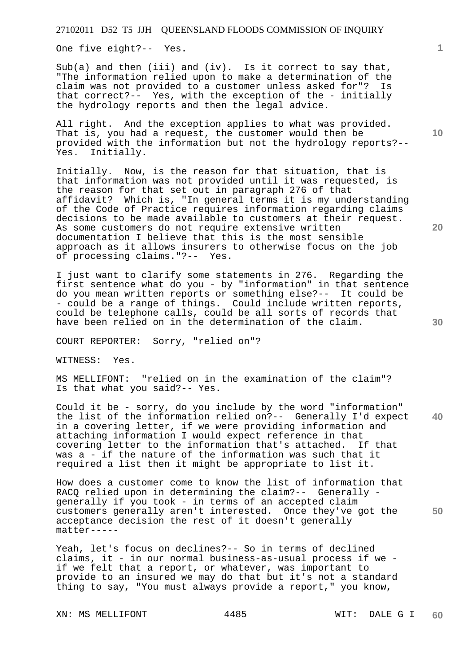One five eight?-- Yes.

Sub(a) and then (iii) and (iv). Is it correct to say that, "The information relied upon to make a determination of the claim was not provided to a customer unless asked for"? Is that correct?-- Yes, with the exception of the - initially the hydrology reports and then the legal advice.

All right. And the exception applies to what was provided. That is, you had a request, the customer would then be provided with the information but not the hydrology reports?-- Yes. Initially.

Initially. Now, is the reason for that situation, that is that information was not provided until it was requested, is the reason for that set out in paragraph 276 of that affidavit? Which is, "In general terms it is my understanding of the Code of Practice requires information regarding claims decisions to be made available to customers at their request. As some customers do not require extensive written documentation I believe that this is the most sensible approach as it allows insurers to otherwise focus on the job of processing claims."?-- Yes.

I just want to clarify some statements in 276. Regarding the first sentence what do you - by "information" in that sentence do you mean written reports or something else?-- It could be - could be a range of things. Could include written reports, could be telephone calls, could be all sorts of records that have been relied on in the determination of the claim.

COURT REPORTER: Sorry, "relied on"?

WITNESS: Yes.

MS MELLIFONT: "relied on in the examination of the claim"? Is that what you said?-- Yes.

**40**  Could it be - sorry, do you include by the word "information" the list of the information relied on?-- Generally I'd expect in a covering letter, if we were providing information and attaching information I would expect reference in that covering letter to the information that's attached. If that was a - if the nature of the information was such that it required a list then it might be appropriate to list it.

**50**  How does a customer come to know the list of information that RACQ relied upon in determining the claim?-- Generally generally if you took - in terms of an accepted claim customers generally aren't interested. Once they've got the acceptance decision the rest of it doesn't generally matter-----

Yeah, let's focus on declines?-- So in terms of declined claims, it - in our normal business-as-usual process if we if we felt that a report, or whatever, was important to provide to an insured we may do that but it's not a standard thing to say, "You must always provide a report," you know,

XN: MS MELLIFONT 4485 WIT: DALE G I

**10** 

**1**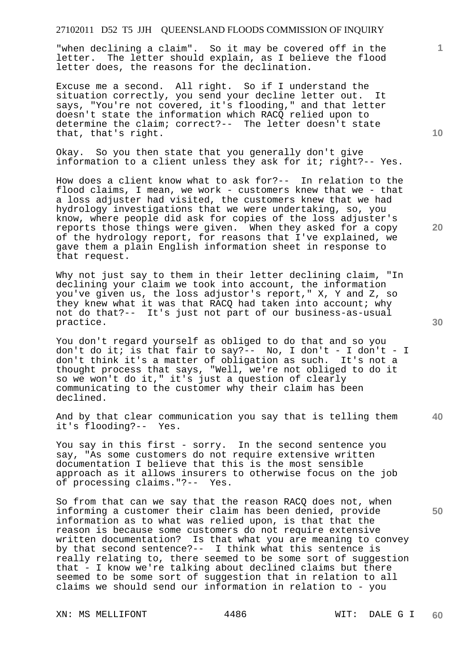"when declining a claim". So it may be covered off in the letter. The letter should explain, as I believe the flood letter does, the reasons for the declination.

Excuse me a second. All right. So if I understand the situation correctly, you send your decline letter out. It says, "You're not covered, it's flooding," and that letter doesn't state the information which RACQ relied upon to determine the claim; correct?-- The letter doesn't state that, that's right.

Okay. So you then state that you generally don't give information to a client unless they ask for it; right?-- Yes.

How does a client know what to ask for?-- In relation to the flood claims, I mean, we work - customers knew that we - that a loss adjuster had visited, the customers knew that we had hydrology investigations that we were undertaking, so, you know, where people did ask for copies of the loss adjuster's reports those things were given. When they asked for a copy of the hydrology report, for reasons that I've explained, we gave them a plain English information sheet in response to that request.

Why not just say to them in their letter declining claim, "In declining your claim we took into account, the information you've given us, the loss adjustor's report," X, Y and Z, so they knew what it was that RACQ had taken into account; why not do that?-- It's just not part of our business-as-usual practice.

You don't regard yourself as obliged to do that and so you don't do it; is that fair to say?-- No, I don't - I don't - I don't think it's a matter of obligation as such. It's not a thought process that says, "Well, we're not obliged to do it so we won't do it," it's just a question of clearly communicating to the customer why their claim has been declined.

And by that clear communication you say that is telling them it's flooding?-- Yes.

You say in this first - sorry. In the second sentence you say, "As some customers do not require extensive written documentation I believe that this is the most sensible approach as it allows insurers to otherwise focus on the job of processing claims."?-- Yes.

So from that can we say that the reason RACQ does not, when informing a customer their claim has been denied, provide information as to what was relied upon, is that that the reason is because some customers do not require extensive<br>written documentation? Is that what you are meaning to c Is that what you are meaning to convey by that second sentence?-- I think what this sentence is really relating to, there seemed to be some sort of suggestion that - I know we're talking about declined claims but there seemed to be some sort of suggestion that in relation to all claims we should send our information in relation to - you

XN: MS MELLIFONT 4486 WIT: DALE G I

**10** 

**20** 

**1**

**30** 

**40**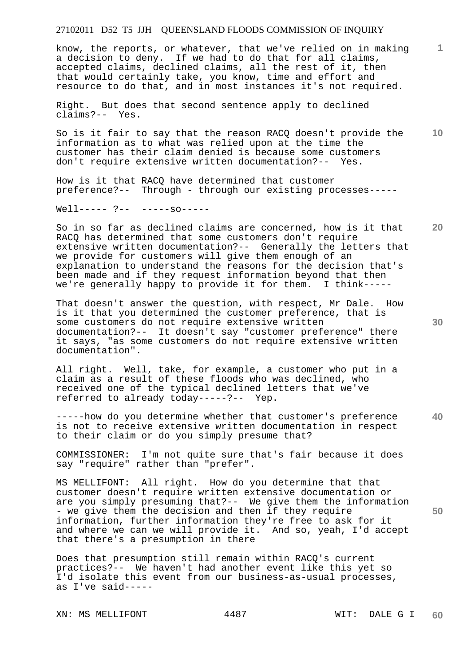know, the reports, or whatever, that we've relied on in making a decision to deny. If we had to do that for all claims, accepted claims, declined claims, all the rest of it, then that would certainly take, you know, time and effort and resource to do that, and in most instances it's not required.

Right. But does that second sentence apply to declined claims?-- Yes.

**10**  So is it fair to say that the reason RACQ doesn't provide the information as to what was relied upon at the time the customer has their claim denied is because some customers don't require extensive written documentation?-- Yes.

How is it that RACQ have determined that customer preference?-- Through - through our existing processes-----

Well----- ?-- -----so-----

So in so far as declined claims are concerned, how is it that RACQ has determined that some customers don't require extensive written documentation?-- Generally the letters that we provide for customers will give them enough of an explanation to understand the reasons for the decision that's been made and if they request information beyond that then we're generally happy to provide it for them. I think-----

That doesn't answer the question, with respect, Mr Dale. How is it that you determined the customer preference, that is some customers do not require extensive written documentation?-- It doesn't say "customer preference" there it says, "as some customers do not require extensive written documentation".

All right. Well, take, for example, a customer who put in a claim as a result of these floods who was declined, who received one of the typical declined letters that we've referred to already today-----?-- Yep.

**40**  -----how do you determine whether that customer's preference is not to receive extensive written documentation in respect to their claim or do you simply presume that?

COMMISSIONER: I'm not quite sure that's fair because it does say "require" rather than "prefer".

MS MELLIFONT: All right. How do you determine that that customer doesn't require written extensive documentation or are you simply presuming that?-- We give them the information - we give them the decision and then if they require information, further information they're free to ask for it and where we can we will provide it. And so, yeah, I'd accept that there's a presumption in there

Does that presumption still remain within RACQ's current practices?-- We haven't had another event like this yet so I'd isolate this event from our business-as-usual processes, as I've said-----

XN: MS MELLIFONT 4487 WIT: DALE G I

**20** 

**30** 

**50**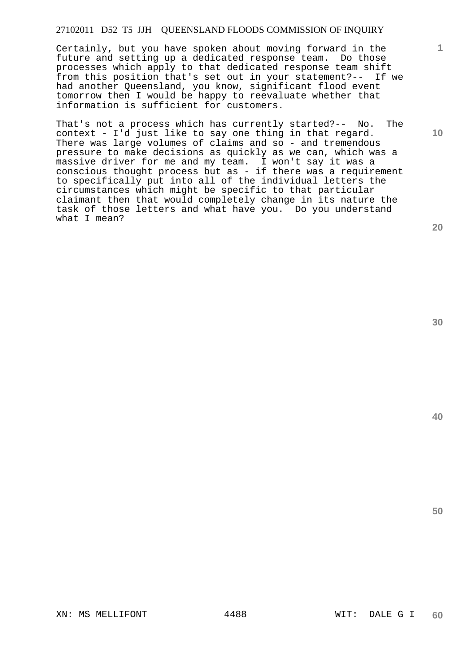Certainly, but you have spoken about moving forward in the future and setting up a dedicated response team. Do those processes which apply to that dedicated response team shift from this position that's set out in your statement?-- If we had another Queensland, you know, significant flood event tomorrow then I would be happy to reevaluate whether that information is sufficient for customers.

That's not a process which has currently started?-- No. The context - I'd just like to say one thing in that regard. There was large volumes of claims and so - and tremendous pressure to make decisions as quickly as we can, which was a massive driver for me and my team. I won't say it was a conscious thought process but as - if there was a requirement to specifically put into all of the individual letters the circumstances which might be specific to that particular claimant then that would completely change in its nature the task of those letters and what have you. Do you understand what I mean?

**20** 

**1**

**10** 

**30**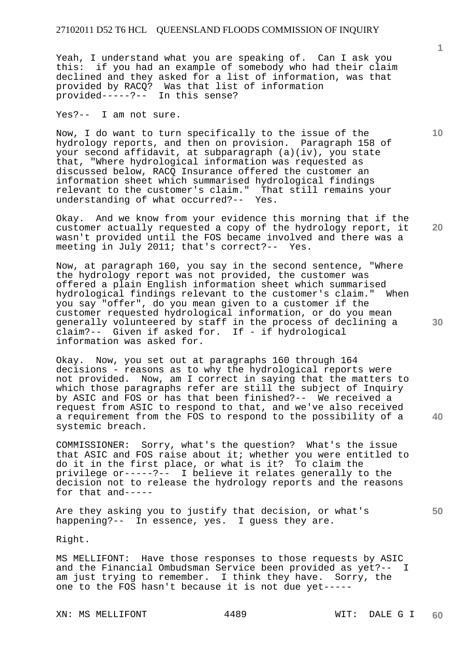Yeah, I understand what you are speaking of. Can I ask you this: if you had an example of somebody who had their claim declined and they asked for a list of information, was that provided by RACQ? Was that list of information provided-----?-- In this sense?

Yes?-- I am not sure.

Now, I do want to turn specifically to the issue of the hydrology reports, and then on provision. Paragraph 158 of your second affidavit, at subparagraph (a)(iv), you state that, "Where hydrological information was requested as discussed below, RACQ Insurance offered the customer an information sheet which summarised hydrological findings relevant to the customer's claim." That still remains your understanding of what occurred?-- Yes.

Okay. And we know from your evidence this morning that if the customer actually requested a copy of the hydrology report, it wasn't provided until the FOS became involved and there was a meeting in July 2011; that's correct?-- Yes.

Now, at paragraph 160, you say in the second sentence, "Where the hydrology report was not provided, the customer was offered a plain English information sheet which summarised hydrological findings relevant to the customer's claim." When you say "offer", do you mean given to a customer if the customer requested hydrological information, or do you mean generally volunteered by staff in the process of declining a claim?-- Given if asked for. If - if hydrological information was asked for.

Okay. Now, you set out at paragraphs 160 through 164 decisions - reasons as to why the hydrological reports were not provided. Now, am I correct in saying that the matters to which those paragraphs refer are still the subject of Inquiry by ASIC and FOS or has that been finished?-- We received a request from ASIC to respond to that, and we've also received a requirement from the FOS to respond to the possibility of a systemic breach.

COMMISSIONER: Sorry, what's the question? What's the issue that ASIC and FOS raise about it; whether you were entitled to do it in the first place, or what is it? To claim the privilege or-----?-- I believe it relates generally to the decision not to release the hydrology reports and the reasons for that and-----

Are they asking you to justify that decision, or what's happening?-- In essence, yes. I guess they are.

Right.

MS MELLIFONT: Have those responses to those requests by ASIC and the Financial Ombudsman Service been provided as yet?-- I am just trying to remember. I think they have. Sorry, the one to the FOS hasn't because it is not due yet-----

XN: MS MELLIFONT 4489 WIT: DALE G I

**10** 

**30** 

**40** 

**50**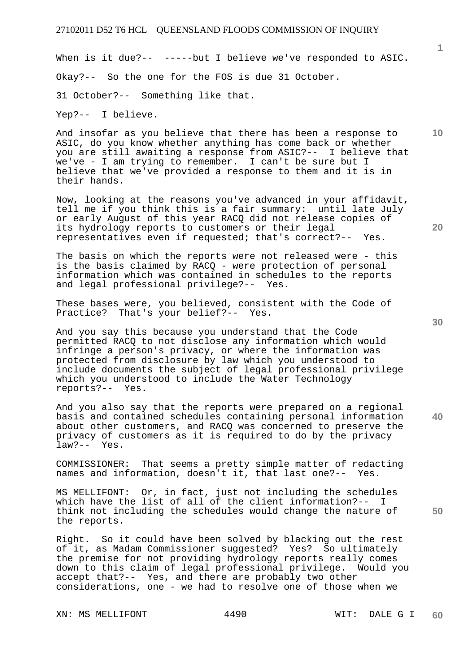When is it due?-- -----but I believe we've responded to ASIC. Okay?-- So the one for the FOS is due 31 October. 31 October?-- Something like that.

Yep?-- I believe.

And insofar as you believe that there has been a response to ASIC, do you know whether anything has come back or whether you are still awaiting a response from ASIC?-- I believe that we've - I am trying to remember. I can't be sure but I believe that we've provided a response to them and it is in their hands.

Now, looking at the reasons you've advanced in your affidavit, tell me if you think this is a fair summary: until late July or early August of this year RACQ did not release copies of its hydrology reports to customers or their legal representatives even if requested; that's correct?-- Yes.

The basis on which the reports were not released were - this is the basis claimed by RACQ - were protection of personal information which was contained in schedules to the reports and legal professional privilege?-- Yes.

These bases were, you believed, consistent with the Code of Practice? That's your belief?-- Yes.

And you say this because you understand that the Code permitted RACQ to not disclose any information which would infringe a person's privacy, or where the information was protected from disclosure by law which you understood to include documents the subject of legal professional privilege which you understood to include the Water Technology reports?-- Yes.

And you also say that the reports were prepared on a regional basis and contained schedules containing personal information about other customers, and RACQ was concerned to preserve the privacy of customers as it is required to do by the privacy law?-- Yes.

COMMISSIONER: That seems a pretty simple matter of redacting names and information, doesn't it, that last one?-- Yes.

MS MELLIFONT: Or, in fact, just not including the schedules which have the list of all of the client information?-- I think not including the schedules would change the nature of the reports.

Right. So it could have been solved by blacking out the rest of it, as Madam Commissioner suggested? Yes? So ultimately the premise for not providing hydrology reports really comes down to this claim of legal professional privilege. Would you accept that?-- Yes, and there are probably two other considerations, one - we had to resolve one of those when we

**40** 

**50** 

**20** 

**10**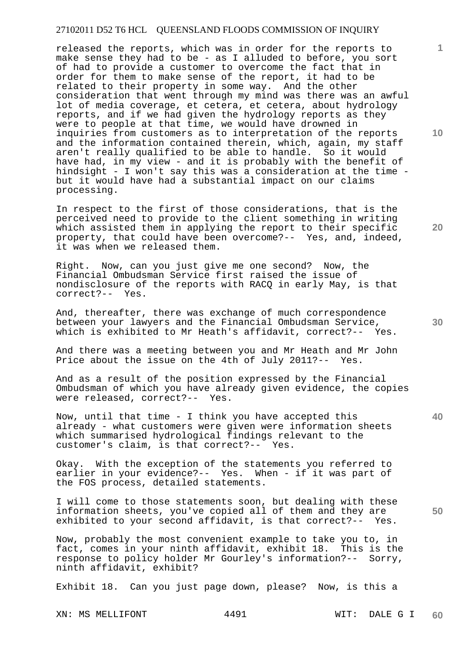released the reports, which was in order for the reports to make sense they had to be - as I alluded to before, you sort of had to provide a customer to overcome the fact that in order for them to make sense of the report, it had to be related to their property in some way. And the other consideration that went through my mind was there was an awful lot of media coverage, et cetera, et cetera, about hydrology reports, and if we had given the hydrology reports as they were to people at that time, we would have drowned in inquiries from customers as to interpretation of the reports and the information contained therein, which, again, my staff aren't really qualified to be able to handle. So it would have had, in my view - and it is probably with the benefit of hindsight - I won't say this was a consideration at the time but it would have had a substantial impact on our claims processing.

In respect to the first of those considerations, that is the perceived need to provide to the client something in writing which assisted them in applying the report to their specific property, that could have been overcome?-- Yes, and, indeed, it was when we released them.

Right. Now, can you just give me one second? Now, the Financial Ombudsman Service first raised the issue of nondisclosure of the reports with RACQ in early May, is that correct?-- Yes.

And, thereafter, there was exchange of much correspondence between your lawyers and the Financial Ombudsman Service, which is exhibited to Mr Heath's affidavit, correct?-- Yes.

And there was a meeting between you and Mr Heath and Mr John Price about the issue on the 4th of July 2011?-- Yes.

And as a result of the position expressed by the Financial Ombudsman of which you have already given evidence, the copies were released, correct?-- Yes.

Now, until that time - I think you have accepted this already - what customers were given were information sheets which summarised hydrological findings relevant to the customer's claim, is that correct?-- Yes.

Okay. With the exception of the statements you referred to earlier in your evidence?-- Yes. When - if it was part of the FOS process, detailed statements.

I will come to those statements soon, but dealing with these information sheets, you've copied all of them and they are exhibited to your second affidavit, is that correct?-- Yes.

Now, probably the most convenient example to take you to, in fact, comes in your ninth affidavit, exhibit 18. This is the response to policy holder Mr Gourley's information?-- Sorry, ninth affidavit, exhibit?

Exhibit 18. Can you just page down, please? Now, is this a

XN: MS MELLIFONT 4491 WIT: DALE G I

**10** 

**1**

**40** 

**50**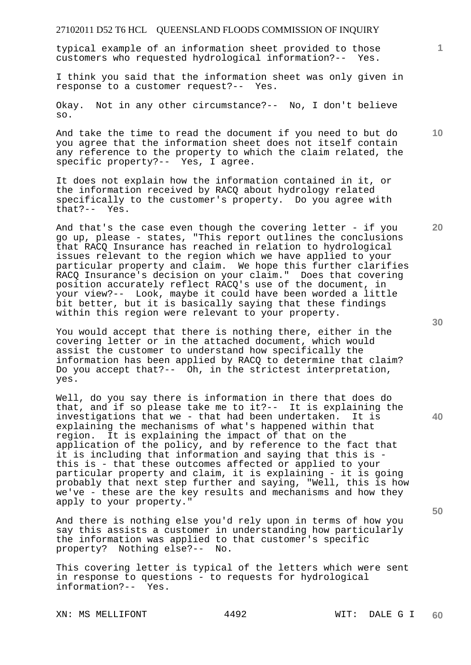typical example of an information sheet provided to those customers who requested hydrological information?-- Yes.

I think you said that the information sheet was only given in response to a customer request?-- Yes.

Okay. Not in any other circumstance?-- No, I don't believe so.

And take the time to read the document if you need to but do you agree that the information sheet does not itself contain any reference to the property to which the claim related, the specific property?-- Yes, I agree.

It does not explain how the information contained in it, or the information received by RACQ about hydrology related specifically to the customer's property. Do you agree with that?-- Yes.

And that's the case even though the covering letter - if you go up, please - states, "This report outlines the conclusions that RACQ Insurance has reached in relation to hydrological issues relevant to the region which we have applied to your particular property and claim. We hope this further clarifies RACQ Insurance's decision on your claim." Does that covering position accurately reflect RACQ's use of the document, in your view?-- Look, maybe it could have been worded a little bit better, but it is basically saying that these findings within this region were relevant to your property.

You would accept that there is nothing there, either in the covering letter or in the attached document, which would assist the customer to understand how specifically the information has been applied by RACQ to determine that claim? Do you accept that?-- Oh, in the strictest interpretation, yes.

Well, do you say there is information in there that does do that, and if so please take me to it?-- It is explaining the investigations that we - that had been undertaken. It is explaining the mechanisms of what's happened within that region. It is explaining the impact of that on the application of the policy, and by reference to the fact that it is including that information and saying that this is this is - that these outcomes affected or applied to your particular property and claim, it is explaining - it is going probably that next step further and saying, "Well, this is how we've - these are the key results and mechanisms and how they apply to your property."

And there is nothing else you'd rely upon in terms of how you say this assists a customer in understanding how particularly the information was applied to that customer's specific property? Nothing else?-- No.

This covering letter is typical of the letters which were sent in response to questions - to requests for hydrological information?-- Yes.

XN: MS MELLIFONT 4492 WIT: DALE G I

**40** 

**50** 

**10** 

**20**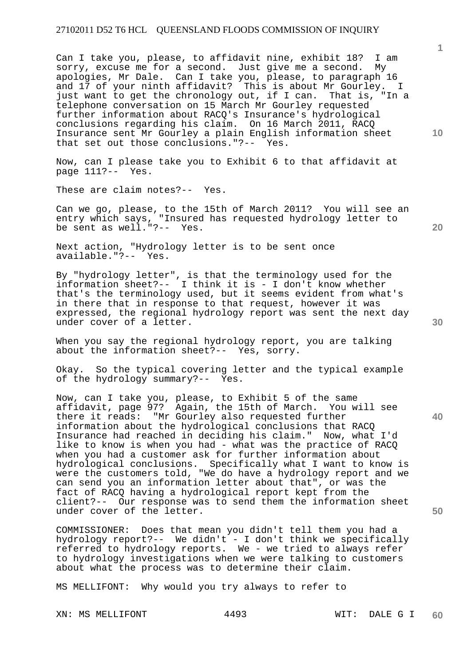Can I take you, please, to affidavit nine, exhibit 18? I am sorry, excuse me for a second. Just give me a second. My apologies, Mr Dale. Can I take you, please, to paragraph 16 and 17 of your ninth affidavit? This is about Mr Gourley. I just want to get the chronology out, if I can. That is, "In a telephone conversation on 15 March Mr Gourley requested further information about RACQ's Insurance's hydrological conclusions regarding his claim. On 16 March 2011, RACQ Insurance sent Mr Gourley a plain English information sheet that set out those conclusions."?-- Yes.

Now, can I please take you to Exhibit 6 to that affidavit at  $page 111? --$  Yes.

These are claim notes?-- Yes.

Can we go, please, to the 15th of March 2011? You will see an entry which says, "Insured has requested hydrology letter to be sent as well."?-- Yes.

Next action, "Hydrology letter is to be sent once available."?-- Yes.

By "hydrology letter", is that the terminology used for the information sheet?-- I think it is - I don't know whether that's the terminology used, but it seems evident from what's in there that in response to that request, however it was expressed, the regional hydrology report was sent the next day under cover of a letter.

When you say the regional hydrology report, you are talking about the information sheet?-- Yes, sorry.

Okay. So the typical covering letter and the typical example of the hydrology summary?-- Yes.

Now, can I take you, please, to Exhibit 5 of the same affidavit, page 97? Again, the 15th of March. You will see there it reads: "Mr Gourley also requested further information about the hydrological conclusions that RACQ Insurance had reached in deciding his claim." Now, what I'd like to know is when you had - what was the practice of RACQ when you had a customer ask for further information about hydrological conclusions. Specifically what I want to know is were the customers told, "We do have a hydrology report and we can send you an information letter about that", or was the fact of RACQ having a hydrological report kept from the client?-- Our response was to send them the information sheet under cover of the letter.

COMMISSIONER: Does that mean you didn't tell them you had a hydrology report?-- We didn't - I don't think we specifically referred to hydrology reports. We - we tried to always refer to hydrology investigations when we were talking to customers about what the process was to determine their claim.

MS MELLIFONT: Why would you try always to refer to

XN: MS MELLIFONT 4493 WIT: DALE G I

**10** 

**1**

**20** 

**30** 

**40**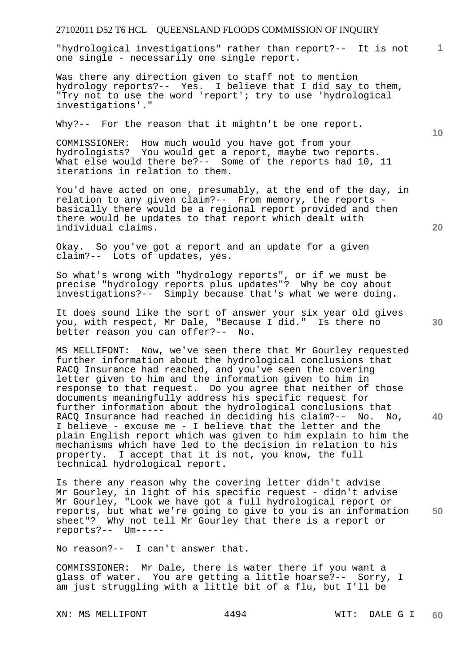"hydrological investigations" rather than report?-- It is not one single - necessarily one single report.

Was there any direction given to staff not to mention hydrology reports?-- Yes. I believe that I did say to them, "Try not to use the word 'report'; try to use 'hydrological investigations'."

Why?-- For the reason that it mightn't be one report.

COMMISSIONER: How much would you have got from your hydrologists? You would get a report, maybe two reports. What else would there be?-- Some of the reports had 10, 11 iterations in relation to them.

You'd have acted on one, presumably, at the end of the day, in relation to any given claim?-- From memory, the reports basically there would be a regional report provided and then there would be updates to that report which dealt with individual claims.

Okay. So you've got a report and an update for a given claim?-- Lots of updates, yes.

So what's wrong with "hydrology reports", or if we must be precise "hydrology reports plus updates"? Why be coy about investigations?-- Simply because that's what we were doing.

It does sound like the sort of answer your six year old gives you, with respect, Mr Dale, "Because I did." Is there no better reason you can offer?-- No.

MS MELLIFONT: Now, we've seen there that Mr Gourley requested further information about the hydrological conclusions that RACQ Insurance had reached, and you've seen the covering letter given to him and the information given to him in response to that request. Do you agree that neither of those documents meaningfully address his specific request for further information about the hydrological conclusions that RACQ Insurance had reached in deciding his claim?-- No. No, I believe - excuse me - I believe that the letter and the plain English report which was given to him explain to him the mechanisms which have led to the decision in relation to his property. I accept that it is not, you know, the full technical hydrological report.

**50**  Is there any reason why the covering letter didn't advise Mr Gourley, in light of his specific request - didn't advise Mr Gourley, "Look we have got a full hydrological report or reports, but what we're going to give to you is an information sheet"? Why not tell Mr Gourley that there is a report or reports?-- Um-----

No reason?-- I can't answer that.

COMMISSIONER: Mr Dale, there is water there if you want a glass of water. You are getting a little hoarse?-- Sorry, I am just struggling with a little bit of a flu, but I'll be

XN: MS MELLIFONT 4494 WIT: DALE G I

**10** 

**20** 

**1**

**30**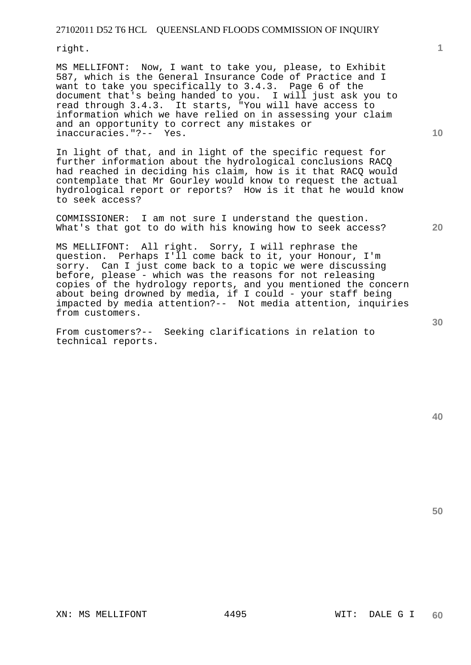right.

MS MELLIFONT: Now, I want to take you, please, to Exhibit 587, which is the General Insurance Code of Practice and I want to take you specifically to 3.4.3. Page 6 of the document that's being handed to you. I will just ask you to read through 3.4.3. It starts, "You will have access to information which we have relied on in assessing your claim and an opportunity to correct any mistakes or inaccuracies."?-- Yes.

In light of that, and in light of the specific request for further information about the hydrological conclusions RACQ had reached in deciding his claim, how is it that RACQ would contemplate that Mr Gourley would know to request the actual hydrological report or reports? How is it that he would know to seek access?

COMMISSIONER: I am not sure I understand the question. What's that got to do with his knowing how to seek access?

MS MELLIFONT: All right. Sorry, I will rephrase the question. Perhaps I'll come back to it, your Honour, I'm sorry. Can I just come back to a topic we were discussing before, please - which was the reasons for not releasing copies of the hydrology reports, and you mentioned the concern about being drowned by media, if I could - your staff being impacted by media attention?-- Not media attention, inquiries from customers.

From customers?-- Seeking clarifications in relation to technical reports.

**10** 

**1**

**20** 

**30**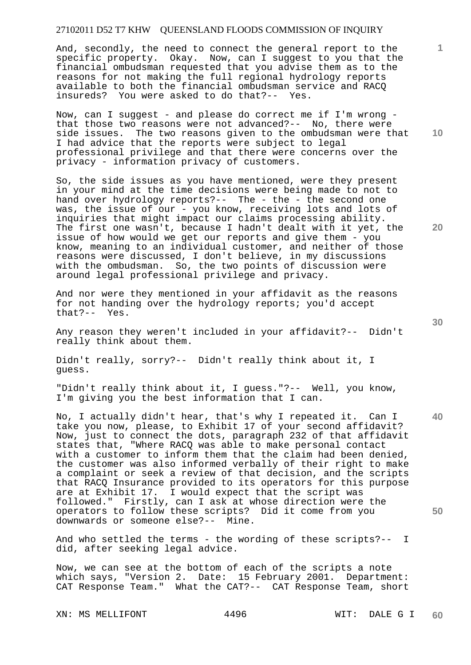And, secondly, the need to connect the general report to the specific property. Okay. Now, can I suggest to you that the financial ombudsman requested that you advise them as to the reasons for not making the full regional hydrology reports available to both the financial ombudsman service and RACQ insureds? You were asked to do that?-- Yes.

Now, can I suggest - and please do correct me if I'm wrong that those two reasons were not advanced?-- No, there were side issues. The two reasons given to the ombudsman were that I had advice that the reports were subject to legal professional privilege and that there were concerns over the privacy - information privacy of customers.

So, the side issues as you have mentioned, were they present in your mind at the time decisions were being made to not to hand over hydrology reports?-- The - the - the second one was, the issue of our - you know, receiving lots and lots of inquiries that might impact our claims processing ability. The first one wasn't, because I hadn't dealt with it yet, the issue of how would we get our reports and give them - you know, meaning to an individual customer, and neither of those reasons were discussed, I don't believe, in my discussions with the ombudsman. So, the two points of discussion were around legal professional privilege and privacy.

And nor were they mentioned in your affidavit as the reasons for not handing over the hydrology reports; you'd accept that?-- Yes.

Any reason they weren't included in your affidavit?-- Didn't really think about them.

Didn't really, sorry?-- Didn't really think about it, I guess.

"Didn't really think about it, I guess."?-- Well, you know, I'm giving you the best information that I can.

No, I actually didn't hear, that's why I repeated it. Can I take you now, please, to Exhibit 17 of your second affidavit? Now, just to connect the dots, paragraph 232 of that affidavit states that, "Where RACQ was able to make personal contact with a customer to inform them that the claim had been denied, the customer was also informed verbally of their right to make a complaint or seek a review of that decision, and the scripts that RACQ Insurance provided to its operators for this purpose are at Exhibit 17. I would expect that the script was followed." Firstly, can I ask at whose direction were the operators to follow these scripts? Did it come from you downwards or someone else?-- Mine.

And who settled the terms - the wording of these scripts?-- I did, after seeking legal advice.

Now, we can see at the bottom of each of the scripts a note which says, "Version 2. Date: 15 February 2001. Department: CAT Response Team." What the CAT?-- CAT Response Team, short

XN: MS MELLIFONT 4496 WIT: DALE G I

**10** 

**1**

**20** 

**40**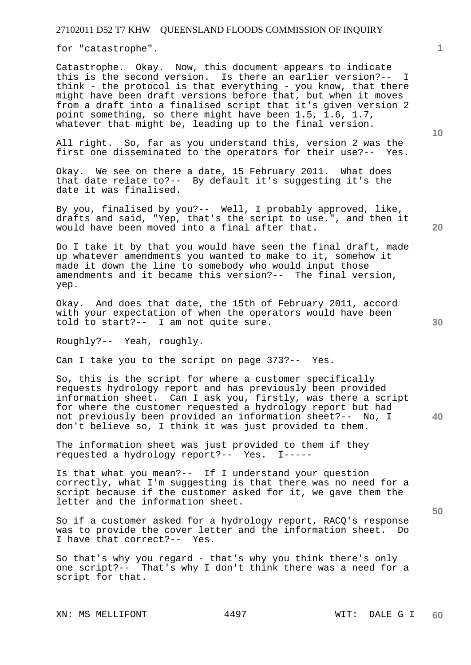for "catastrophe".

Catastrophe. Okay. Now, this document appears to indicate this is the second version. Is there an earlier version?-- I think - the protocol is that everything - you know, that there might have been draft versions before that, but when it moves from a draft into a finalised script that it's given version 2 point something, so there might have been 1.5, 1.6, 1.7, whatever that might be, leading up to the final version.

All right. So, far as you understand this, version 2 was the first one disseminated to the operators for their use?-- Yes.

Okay. We see on there a date, 15 February 2011. What does that date relate to?-- By default it's suggesting it's the date it was finalised.

By you, finalised by you?-- Well, I probably approved, like, drafts and said, "Yep, that's the script to use.", and then it would have been moved into a final after that.

Do I take it by that you would have seen the final draft, made up whatever amendments you wanted to make to it, somehow it made it down the line to somebody who would input those amendments and it became this version?-- The final version, yep.

Okay. And does that date, the 15th of February 2011, accord with your expectation of when the operators would have been told to start?-- I am not quite sure.

Roughly?-- Yeah, roughly.

Can I take you to the script on page 373?-- Yes.

**40**  So, this is the script for where a customer specifically requests hydrology report and has previously been provided information sheet. Can I ask you, firstly, was there a script for where the customer requested a hydrology report but had not previously been provided an information sheet?-- No, I don't believe so, I think it was just provided to them.

The information sheet was just provided to them if they requested a hydrology report?-- Yes. I-----

Is that what you mean?-- If I understand your question correctly, what I'm suggesting is that there was no need for a script because if the customer asked for it, we gave them the letter and the information sheet.

So if a customer asked for a hydrology report, RACQ's response was to provide the cover letter and the information sheet. Do I have that correct?-- Yes.

So that's why you regard - that's why you think there's only one script?-- That's why I don't think there was a need for a script for that.

XN: MS MELLIFONT 4497 WIT: DALE G I

**1**

**20**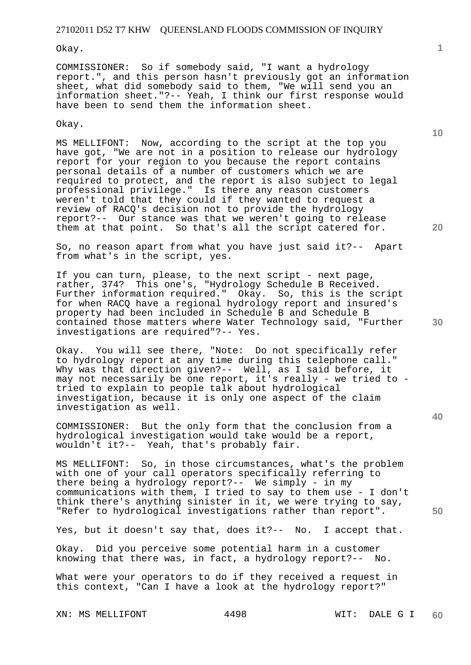#### Okay.

COMMISSIONER: So if somebody said, "I want a hydrology report.", and this person hasn't previously got an information sheet, what did somebody said to them, "We will send you an information sheet."?-- Yeah, I think our first response would have been to send them the information sheet.

#### Okay.

MS MELLIFONT: Now, according to the script at the top you have got, "We are not in a position to release our hydrology report for your region to you because the report contains personal details of a number of customers which we are required to protect, and the report is also subject to legal professional privilege." Is there any reason customers weren't told that they could if they wanted to request a review of RACQ's decision not to provide the hydrology report?-- Our stance was that we weren't going to release them at that point. So that's all the script catered for.

So, no reason apart from what you have just said it?-- Apart from what's in the script, yes.

If you can turn, please, to the next script - next page, rather, 374? This one's, "Hydrology Schedule B Received. Further information required." Okay. So, this is the script for when RACQ have a regional hydrology report and insured's property had been included in Schedule B and Schedule B contained those matters where Water Technology said, "Further investigations are required"?-- Yes.

Okay. You will see there, "Note: Do not specifically refer to hydrology report at any time during this telephone call." Why was that direction given?-- Well, as I said before, it may not necessarily be one report, it's really - we tried to tried to explain to people talk about hydrological investigation, because it is only one aspect of the claim investigation as well.

COMMISSIONER: But the only form that the conclusion from a hydrological investigation would take would be a report, wouldn't it?-- Yeah, that's probably fair.

MS MELLIFONT: So, in those circumstances, what's the problem with one of your call operators specifically referring to there being a hydrology report?-- We simply - in my communications with them, I tried to say to them use - I don't think there's anything sinister in it, we were trying to say, "Refer to hydrological investigations rather than report".

Yes, but it doesn't say that, does it?-- No. I accept that.

Okay. Did you perceive some potential harm in a customer knowing that there was, in fact, a hydrology report?-- No.

What were your operators to do if they received a request in this context, "Can I have a look at the hydrology report?"

XN: MS MELLIFONT 4498 WIT: DALE G I

**1**

**10** 

**20** 

**40**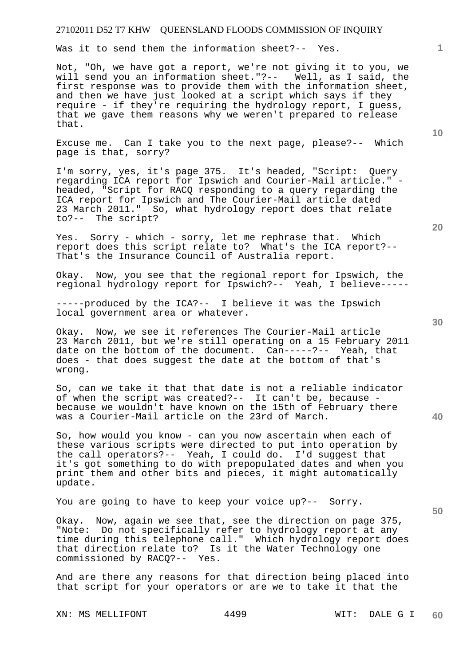Was it to send them the information sheet?-- Yes.

Not, "Oh, we have got a report, we're not giving it to you, we will send you an information sheet."?-- Well, as I said, the first response was to provide them with the information sheet, and then we have just looked at a script which says if they require - if they're requiring the hydrology report, I guess, that we gave them reasons why we weren't prepared to release that.

Excuse me. Can I take you to the next page, please?-- Which page is that, sorry?

I'm sorry, yes, it's page 375. It's headed, "Script: Query regarding ICA report for Ipswich and Courier-Mail article." headed, "Script for RACQ responding to a query regarding the ICA report for Ipswich and The Courier-Mail article dated 23 March 2011." So, what hydrology report does that relate to?-- The script?

Yes. Sorry - which - sorry, let me rephrase that. Which report does this script relate to? What's the ICA report?-- That's the Insurance Council of Australia report.

Okay. Now, you see that the regional report for Ipswich, the regional hydrology report for Ipswich?-- Yeah, I believe-----

-----produced by the ICA?-- I believe it was the Ipswich local government area or whatever.

Okay. Now, we see it references The Courier-Mail article 23 March 2011, but we're still operating on a 15 February 2011 date on the bottom of the document. Can-----?-- Yeah, that does - that does suggest the date at the bottom of that's wrong.

So, can we take it that that date is not a reliable indicator of when the script was created?-- It can't be, because because we wouldn't have known on the 15th of February there was a Courier-Mail article on the 23rd of March.

So, how would you know - can you now ascertain when each of these various scripts were directed to put into operation by the call operators?-- Yeah, I could do. I'd suggest that it's got something to do with prepopulated dates and when you print them and other bits and pieces, it might automatically update.

You are going to have to keep your voice up?-- Sorry.

Okay. Now, again we see that, see the direction on page 375, "Note: Do not specifically refer to hydrology report at any time during this telephone call." Which hydrology report does that direction relate to? Is it the Water Technology one commissioned by RACQ?-- Yes.

And are there any reasons for that direction being placed into that script for your operators or are we to take it that the

XN: MS MELLIFONT 4499 WIT: DALE G I

**30** 

**20** 

**50** 

**10**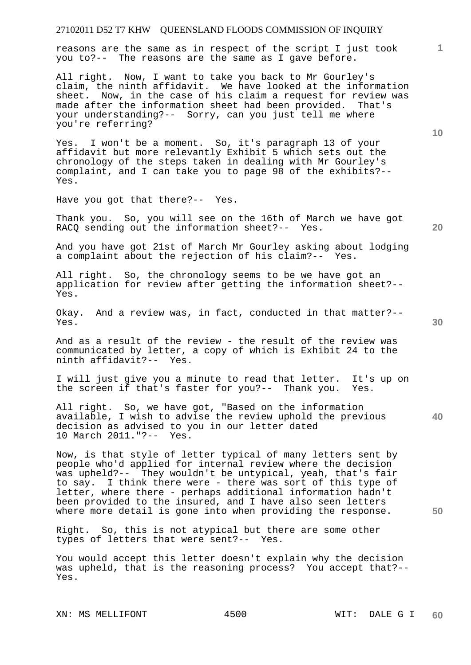reasons are the same as in respect of the script I just took you to?-- The reasons are the same as I gave before.

All right. Now, I want to take you back to Mr Gourley's claim, the ninth affidavit. We have looked at the information sheet. Now, in the case of his claim a request for review was made after the information sheet had been provided. That's your understanding?-- Sorry, can you just tell me where you're referring?

Yes. I won't be a moment. So, it's paragraph 13 of your affidavit but more relevantly Exhibit 5 which sets out the chronology of the steps taken in dealing with Mr Gourley's complaint, and I can take you to page 98 of the exhibits?-- Yes.

Have you got that there?-- Yes.

Thank you. So, you will see on the 16th of March we have got RACQ sending out the information sheet?-- Yes.

And you have got 21st of March Mr Gourley asking about lodging<br>a complaint about the rejection of his claim?-- Yes. a complaint about the rejection of his claim?--

All right. So, the chronology seems to be we have got an application for review after getting the information sheet?-- Yes.

Okay. And a review was, in fact, conducted in that matter?-- Yes.

And as a result of the review - the result of the review was communicated by letter, a copy of which is Exhibit 24 to the ninth affidavit?-- Yes.

I will just give you a minute to read that letter. It's up on the screen if that's faster for you?-- Thank you. Yes.

**40**  All right. So, we have got, "Based on the information available, I wish to advise the review uphold the previous decision as advised to you in our letter dated 10 March 2011."?-- Yes.

Now, is that style of letter typical of many letters sent by people who'd applied for internal review where the decision was upheld?-- They wouldn't be untypical, yeah, that's fair to say. I think there were - there was sort of this type of letter, where there - perhaps additional information hadn't been provided to the insured, and I have also seen letters where more detail is gone into when providing the response.

Right. So, this is not atypical but there are some other types of letters that were sent?-- Yes.

You would accept this letter doesn't explain why the decision was upheld, that is the reasoning process? You accept that?-- Yes.

XN: MS MELLIFONT 4500 WIT: DALE G I

**10** 

**20** 

**1**

**30**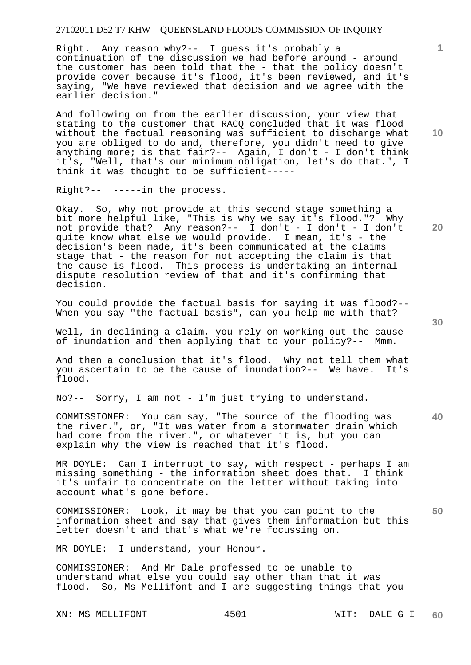Right. Any reason why?-- I guess it's probably a continuation of the discussion we had before around - around the customer has been told that the - that the policy doesn't provide cover because it's flood, it's been reviewed, and it's saying, "We have reviewed that decision and we agree with the earlier decision."

And following on from the earlier discussion, your view that stating to the customer that RACQ concluded that it was flood without the factual reasoning was sufficient to discharge what you are obliged to do and, therefore, you didn't need to give anything more; is that fair?-- Again, I don't - I don't think it's, "Well, that's our minimum obligation, let's do that.", I think it was thought to be sufficient-----

Right?-- -----in the process.

Okay. So, why not provide at this second stage something a bit more helpful like, "This is why we say it's flood."? Why not provide that? Any reason?-- I don't - I don't - I don't quite know what else we would provide. I mean, it's - the decision's been made, it's been communicated at the claims stage that - the reason for not accepting the claim is that the cause is flood. This process is undertaking an internal dispute resolution review of that and it's confirming that decision.

You could provide the factual basis for saying it was flood?-- When you say "the factual basis", can you help me with that?

Well, in declining a claim, you rely on working out the cause of inundation and then applying that to your policy?-- Mmm.

And then a conclusion that it's flood. Why not tell them what you ascertain to be the cause of inundation?-- We have. It's flood.

No?-- Sorry, I am not - I'm just trying to understand.

COMMISSIONER: You can say, "The source of the flooding was the river.", or, "It was water from a stormwater drain which had come from the river.", or whatever it is, but you can explain why the view is reached that it's flood.

MR DOYLE: Can I interrupt to say, with respect - perhaps I am missing something - the information sheet does that. I think it's unfair to concentrate on the letter without taking into account what's gone before.

**50**  COMMISSIONER: Look, it may be that you can point to the information sheet and say that gives them information but this letter doesn't and that's what we're focussing on.

MR DOYLE: I understand, your Honour.

COMMISSIONER: And Mr Dale professed to be unable to understand what else you could say other than that it was flood. So, Ms Mellifont and I are suggesting things that you

XN: MS MELLIFONT 4501 WIT: DALE G I

**10** 

**1**

**20**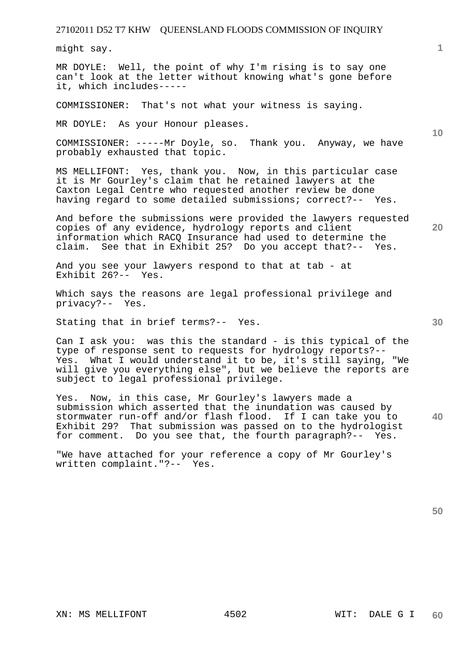might say.

MR DOYLE: Well, the point of why I'm rising is to say one can't look at the letter without knowing what's gone before it, which includes-----

COMMISSIONER: That's not what your witness is saying.

MR DOYLE: As your Honour pleases.

COMMISSIONER: -----Mr Doyle, so. Thank you. Anyway, we have probably exhausted that topic.

MS MELLIFONT: Yes, thank you. Now, in this particular case it is Mr Gourley's claim that he retained lawyers at the Caxton Legal Centre who requested another review be done having regard to some detailed submissions; correct?-- Yes.

And before the submissions were provided the lawyers requested copies of any evidence, hydrology reports and client information which RACQ Insurance had used to determine the claim. See that in Exhibit 25? Do you accept that?-- Yes.

And you see your lawyers respond to that at tab - at Exhibit 26?-- Yes.

Which says the reasons are legal professional privilege and privacy?-- Yes.

Stating that in brief terms?-- Yes.

Can I ask you: was this the standard - is this typical of the type of response sent to requests for hydrology reports?-- Yes. What I would understand it to be, it's still saying, "We will give you everything else", but we believe the reports are subject to legal professional privilege.

**40**  Yes. Now, in this case, Mr Gourley's lawyers made a submission which asserted that the inundation was caused by stormwater run-off and/or flash flood. If I can take you to Exhibit 29? That submission was passed on to the hydrologist for comment. Do you see that, the fourth paragraph?-- Yes.

"We have attached for your reference a copy of Mr Gourley's written complaint."?-- Yes.

**50** 

**1**

**10** 

**30**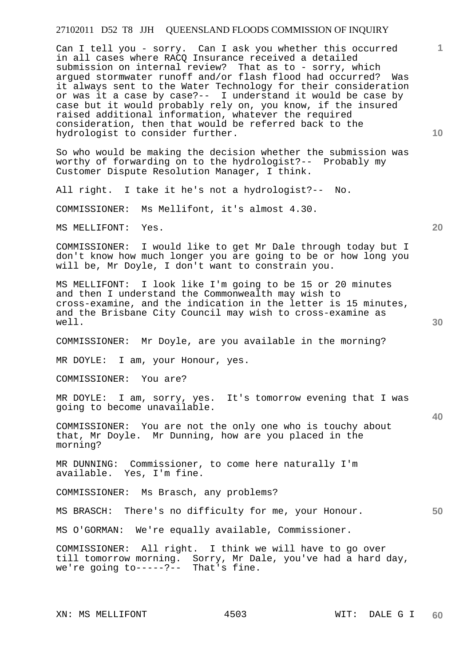Can I tell you - sorry. Can I ask you whether this occurred in all cases where RACQ Insurance received a detailed submission on internal review? That as to - sorry, which argued stormwater runoff and/or flash flood had occurred? Was it always sent to the Water Technology for their consideration or was it a case by case?-- I understand it would be case by case but it would probably rely on, you know, if the insured raised additional information, whatever the required consideration, then that would be referred back to the hydrologist to consider further.

So who would be making the decision whether the submission was worthy of forwarding on to the hydrologist?-- Probably my Customer Dispute Resolution Manager, I think.

All right. I take it he's not a hydrologist?-- No.

COMMISSIONER: Ms Mellifont, it's almost 4.30.

MS MELLIFONT: Yes.

COMMISSIONER: I would like to get Mr Dale through today but I don't know how much longer you are going to be or how long you will be, Mr Doyle, I don't want to constrain you.

MS MELLIFONT: I look like I'm going to be 15 or 20 minutes and then I understand the Commonwealth may wish to cross-examine, and the indication in the letter is 15 minutes, and the Brisbane City Council may wish to cross-examine as well.

COMMISSIONER: Mr Doyle, are you available in the morning?

MR DOYLE: I am, your Honour, yes.

COMMISSIONER: You are?

MR DOYLE: I am, sorry, yes. It's tomorrow evening that I was going to become unavailable.

COMMISSIONER: You are not the only one who is touchy about that, Mr Doyle. Mr Dunning, how are you placed in the morning?

MR DUNNING: Commissioner, to come here naturally I'm available. Yes, I'm fine.

COMMISSIONER: Ms Brasch, any problems?

MS BRASCH: There's no difficulty for me, your Honour.

MS O'GORMAN: We're equally available, Commissioner.

COMMISSIONER: All right. I think we will have to go over till tomorrow morning. Sorry, Mr Dale, you've had a hard day, we're going to-----?-- That's fine.

**10** 

**1**

**20** 

**30**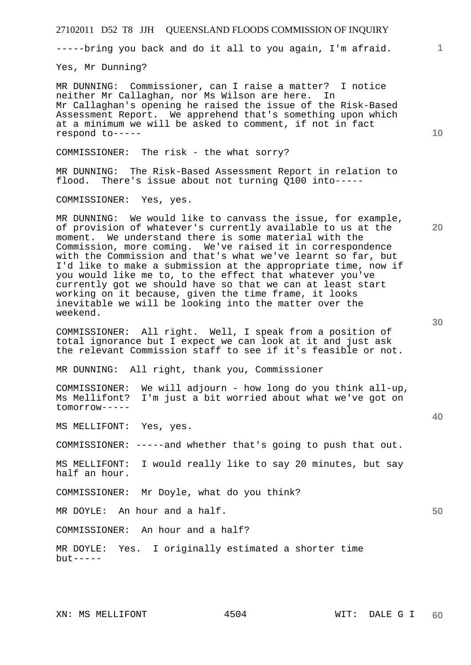| 27102011 D52 T8 JJH QUEENSLAND FLOODS COMMISSION OF INQUIRY                                                                                                                                                                                                                                                                                                                                                                                                                                                                                                                                                                      |              |
|----------------------------------------------------------------------------------------------------------------------------------------------------------------------------------------------------------------------------------------------------------------------------------------------------------------------------------------------------------------------------------------------------------------------------------------------------------------------------------------------------------------------------------------------------------------------------------------------------------------------------------|--------------|
| -----bring you back and do it all to you again, I'm afraid.                                                                                                                                                                                                                                                                                                                                                                                                                                                                                                                                                                      | $\mathbf{1}$ |
| Yes, Mr Dunning?                                                                                                                                                                                                                                                                                                                                                                                                                                                                                                                                                                                                                 |              |
| MR DUNNING: Commissioner, can I raise a matter? I notice<br>neither Mr Callaghan, nor Ms Wilson are here.<br>In<br>Mr Callaghan's opening he raised the issue of the Risk-Based<br>Assessment Report. We apprehend that's something upon which<br>at a minimum we will be asked to comment, if not in fact<br>respond to-----                                                                                                                                                                                                                                                                                                    | 10           |
| COMMISSIONER: The risk - the what sorry?                                                                                                                                                                                                                                                                                                                                                                                                                                                                                                                                                                                         |              |
| MR DUNNING: The Risk-Based Assessment Report in relation to<br>flood. There's issue about not turning Q100 into-----                                                                                                                                                                                                                                                                                                                                                                                                                                                                                                             |              |
| COMMISSIONER: Yes, yes.                                                                                                                                                                                                                                                                                                                                                                                                                                                                                                                                                                                                          |              |
| MR DUNNING: We would like to canvass the issue, for example,<br>of provision of whatever's currently available to us at the<br>moment. We understand there is some material with the<br>Commission, more coming. We've raised it in correspondence<br>with the Commission and that's what we've learnt so far, but<br>I'd like to make a submission at the appropriate time, now if<br>you would like me to, to the effect that whatever you've<br>currently got we should have so that we can at least start<br>working on it because, given the time frame, it looks<br>inevitable we will be looking into the matter over the | 20           |
| weekend.                                                                                                                                                                                                                                                                                                                                                                                                                                                                                                                                                                                                                         | 30           |
| COMMISSIONER: All right. Well, I speak from a position of<br>total ignorance but I expect we can look at it and just ask<br>the relevant Commission staff to see if it's feasible or not.                                                                                                                                                                                                                                                                                                                                                                                                                                        |              |
| MR DUNNING: All right, thank you, Commissioner                                                                                                                                                                                                                                                                                                                                                                                                                                                                                                                                                                                   |              |
| COMMISSIONER:<br>We will adjourn - how long do you think all-up,<br>Ms Mellifont?<br>I'm just a bit worried about what we've got on<br>tomorrow-----                                                                                                                                                                                                                                                                                                                                                                                                                                                                             |              |
| MS MELLIFONT: Yes, yes.                                                                                                                                                                                                                                                                                                                                                                                                                                                                                                                                                                                                          | 40           |
| COMMISSIONER: -----and whether that's going to push that out.                                                                                                                                                                                                                                                                                                                                                                                                                                                                                                                                                                    |              |
| I would really like to say 20 minutes, but say<br>MS MELLIFONT:<br>half an hour.                                                                                                                                                                                                                                                                                                                                                                                                                                                                                                                                                 |              |
| Mr Doyle, what do you think?<br>COMMISSIONER:                                                                                                                                                                                                                                                                                                                                                                                                                                                                                                                                                                                    |              |
| An hour and a half.<br>MR DOYLE:                                                                                                                                                                                                                                                                                                                                                                                                                                                                                                                                                                                                 | 50           |
| COMMISSIONER: An hour and a half?                                                                                                                                                                                                                                                                                                                                                                                                                                                                                                                                                                                                |              |
| Yes. I originally estimated a shorter time<br>MR DOYLE:<br>$but --- -$                                                                                                                                                                                                                                                                                                                                                                                                                                                                                                                                                           |              |
|                                                                                                                                                                                                                                                                                                                                                                                                                                                                                                                                                                                                                                  |              |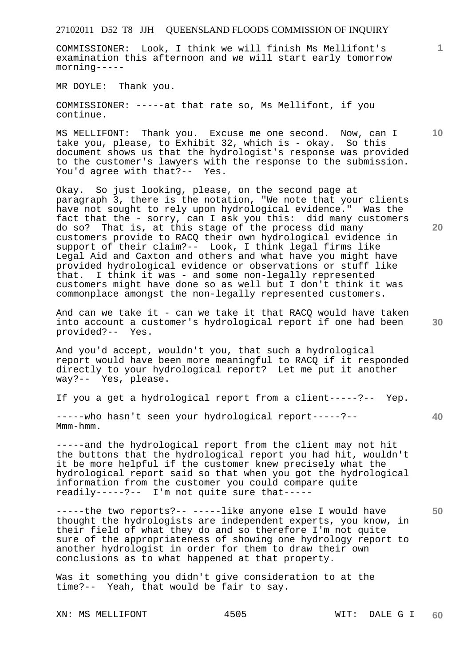COMMISSIONER: Look, I think we will finish Ms Mellifont's examination this afternoon and we will start early tomorrow morning-----

MR DOYLE: Thank you.

COMMISSIONER: -----at that rate so, Ms Mellifont, if you continue.

MS MELLIFONT: Thank you. Excuse me one second. Now, can I take you, please, to Exhibit 32, which is - okay. So this document shows us that the hydrologist's response was provided to the customer's lawyers with the response to the submission. You'd agree with that?-- Yes.

Okay. So just looking, please, on the second page at paragraph 3, there is the notation, "We note that your clients have not sought to rely upon hydrological evidence." Was the fact that the - sorry, can I ask you this: did many customers do so? That is, at this stage of the process did many customers provide to RACQ their own hydrological evidence in support of their claim?-- Look, I think legal firms like Legal Aid and Caxton and others and what have you might have provided hydrological evidence or observations or stuff like that. I think it was - and some non-legally represented customers might have done so as well but I don't think it was commonplace amongst the non-legally represented customers.

And can we take it - can we take it that RACQ would have taken into account a customer's hydrological report if one had been provided?-- Yes.

And you'd accept, wouldn't you, that such a hydrological report would have been more meaningful to RACQ if it responded directly to your hydrological report? Let me put it another way?-- Yes, please.

If you a get a hydrological report from a client-----?-- Yep.

-----who hasn't seen your hydrological report-----?-- Mmm-hmm.

-----and the hydrological report from the client may not hit the buttons that the hydrological report you had hit, wouldn't it be more helpful if the customer knew precisely what the hydrological report said so that when you got the hydrological information from the customer you could compare quite readily-----?-- I'm not quite sure that-----

-----the two reports?-- -----like anyone else I would have thought the hydrologists are independent experts, you know, in their field of what they do and so therefore I'm not quite sure of the appropriateness of showing one hydrology report to another hydrologist in order for them to draw their own conclusions as to what happened at that property.

Was it something you didn't give consideration to at the time?-- Yeah, that would be fair to say.

XN: MS MELLIFONT 4505 WIT: DALE G I

**10** 

**1**

**20** 

**40**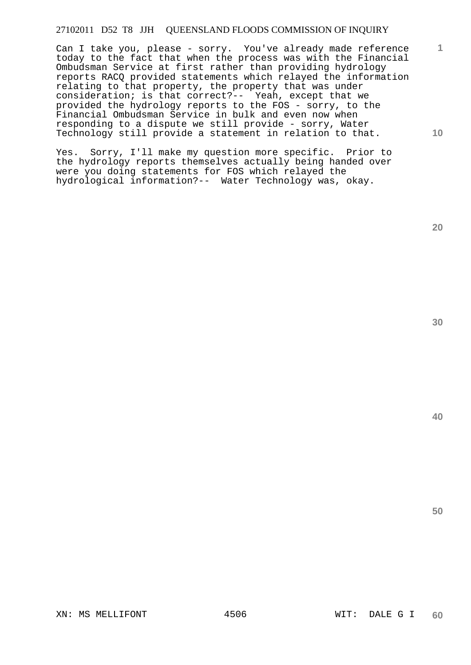Can I take you, please - sorry. You've already made reference today to the fact that when the process was with the Financial Ombudsman Service at first rather than providing hydrology reports RACQ provided statements which relayed the information relating to that property, the property that was under consideration; is that correct?-- Yeah, except that we provided the hydrology reports to the FOS - sorry, to the Financial Ombudsman Service in bulk and even now when responding to a dispute we still provide - sorry, Water Technology still provide a statement in relation to that.

Yes. Sorry, I'll make my question more specific. Prior to the hydrology reports themselves actually being handed over were you doing statements for FOS which relayed the hydrological information?-- Water Technology was, okay.

**20** 

**1**

**10** 

**30**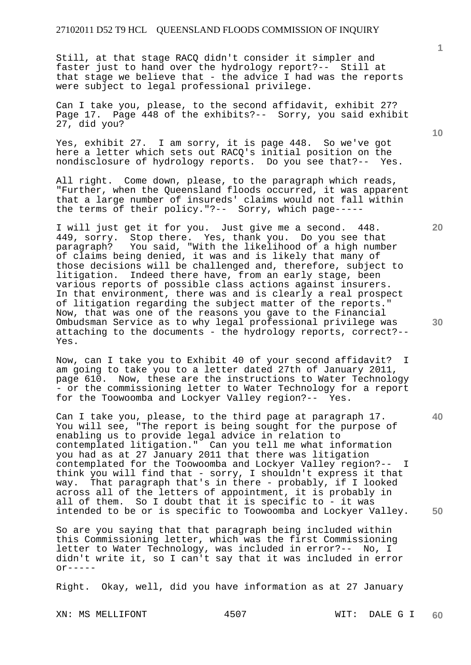Still, at that stage RACQ didn't consider it simpler and faster just to hand over the hydrology report?-- Still at that stage we believe that - the advice I had was the reports were subject to legal professional privilege.

Can I take you, please, to the second affidavit, exhibit 27? Page 17. Page 448 of the exhibits?-- Sorry, you said exhibit 27, did you?

Yes, exhibit 27. I am sorry, it is page 448. So we've got here a letter which sets out RACQ's initial position on the nondisclosure of hydrology reports. Do you see that?-- Yes.

All right. Come down, please, to the paragraph which reads, "Further, when the Queensland floods occurred, it was apparent that a large number of insureds' claims would not fall within the terms of their policy."?-- Sorry, which page-----

I will just get it for you. Just give me a second. 448. 449, sorry. Stop there. Yes, thank you. Do you see that<br>paragraph? You said, "With the likelihood of a high numb You said, "With the likelihood of a high number of claims being denied, it was and is likely that many of those decisions will be challenged and, therefore, subject to<br>litigation. Indeed there have, from an early stage, been Indeed there have, from an early stage, been various reports of possible class actions against insurers. In that environment, there was and is clearly a real prospect of litigation regarding the subject matter of the reports." Now, that was one of the reasons you gave to the Financial Ombudsman Service as to why legal professional privilege was attaching to the documents - the hydrology reports, correct?-- Yes.

Now, can I take you to Exhibit 40 of your second affidavit? I am going to take you to a letter dated 27th of January 2011, page 610. Now, these are the instructions to Water Technology - or the commissioning letter to Water Technology for a report for the Toowoomba and Lockyer Valley region?-- Yes.

Can I take you, please, to the third page at paragraph 17. You will see, "The report is being sought for the purpose of enabling us to provide legal advice in relation to contemplated litigation." Can you tell me what information you had as at 27 January 2011 that there was litigation contemplated for the Toowoomba and Lockyer Valley region?-- I think you will find that - sorry, I shouldn't express it that way. That paragraph that's in there - probably, if I looked across all of the letters of appointment, it is probably in all of them. So I doubt that it is specific to - it was intended to be or is specific to Toowoomba and Lockyer Valley.

So are you saying that that paragraph being included within this Commissioning letter, which was the first Commissioning letter to Water Technology, was included in error?-- No, I didn't write it, so I can't say that it was included in error  $\alpha$ r-----

Right. Okay, well, did you have information as at 27 January

XN: MS MELLIFONT 4507 WIT: DALE G I

**1**

**20** 

**30** 

**40**